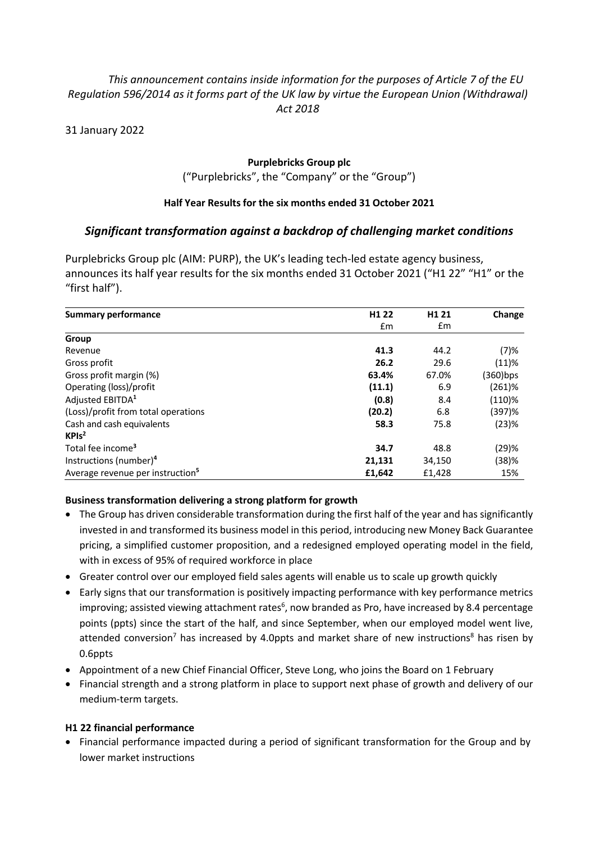# *This announcement contains inside information for the purposes of Article 7 of the EU Regulation 596/2014 as it forms part of the UK law by virtue the European Union (Withdrawal) Act 2018*

31 January 2022

## **Purplebricks Group plc** ("Purplebricks", the "Company" or the "Group")

# **Half Year Results for the six months ended 31 October 2021**

# *Significant transformation against a backdrop of challenging market conditions*

Purplebricks Group plc (AIM: PURP), the UK's leading tech-led estate agency business, announces its half year results for the six months ended 31 October 2021 ("H1 22" "H1" or the "first half").

| <b>Summary performance</b>                   | H <sub>1</sub> 22 | H <sub>1</sub> 21 | Change    |
|----------------------------------------------|-------------------|-------------------|-----------|
|                                              | fm                | $\mathsf{fm}$     |           |
| Group                                        |                   |                   |           |
| Revenue                                      | 41.3              | 44.2              | (7)%      |
| Gross profit                                 | 26.2              | 29.6              | (11)%     |
| Gross profit margin (%)                      | 63.4%             | 67.0%             | (360)bps  |
| Operating (loss)/profit                      | (11.1)            | 6.9               | $(261)$ % |
| Adjusted EBITDA <sup>1</sup>                 | (0.8)             | 8.4               | $(110)$ % |
| (Loss)/profit from total operations          | (20.2)            | 6.8               | (397)%    |
| Cash and cash equivalents                    | 58.3              | 75.8              | (23)%     |
| KPIs <sup>2</sup>                            |                   |                   |           |
| Total fee income <sup>3</sup>                | 34.7              | 48.8              | (29)%     |
| Instructions (number) <sup>4</sup>           | 21,131            | 34,150            | (38)%     |
| Average revenue per instruction <sup>5</sup> | £1,642            | £1,428            | 15%       |

## **Business transformation delivering a strong platform for growth**

- The Group has driven considerable transformation during the first half of the year and has significantly invested in and transformed its business model in this period, introducing new Money Back Guarantee pricing, a simplified customer proposition, and a redesigned employed operating model in the field, with in excess of 95% of required workforce in place
- Greater control over our employed field sales agents will enable us to scale up growth quickly
- Early signs that our transformation is positively impacting performance with key performance metrics improving; assisted viewing attachment rates<sup>6</sup>, now branded as Pro, have increased by 8.4 percentage points (ppts) since the start of the half, and since September, when our employed model went live, attended conversion<sup>7</sup> has increased by 4.0ppts and market share of new instructions<sup>8</sup> has risen by 0.6ppts
- Appointment of a new Chief Financial Officer, Steve Long, who joins the Board on 1 February
- Financial strength and a strong platform in place to support next phase of growth and delivery of our medium-term targets.

## **H1 22 financial performance**

• Financial performance impacted during a period of significant transformation for the Group and by lower market instructions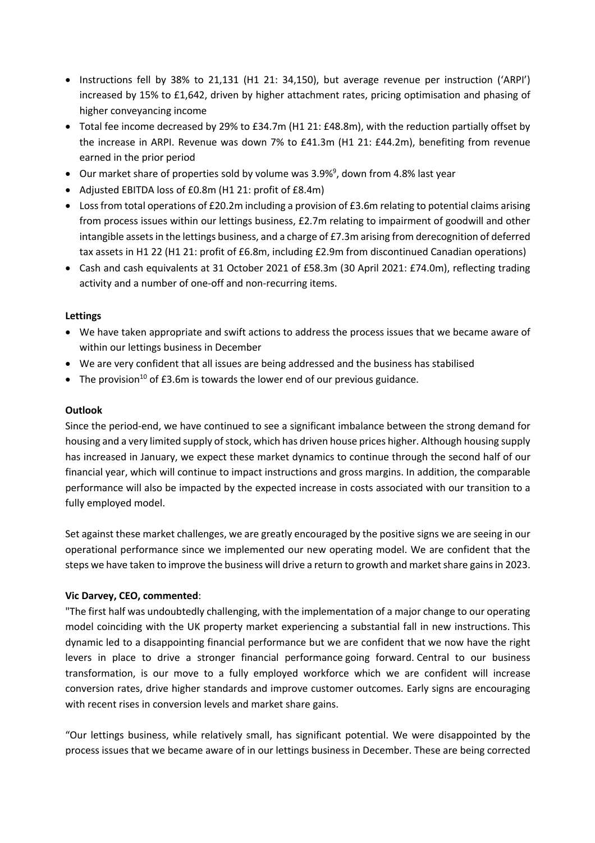- Instructions fell by 38% to 21,131 (H1 21: 34,150), but average revenue per instruction ('ARPI') increased by 15% to £1,642, driven by higher attachment rates, pricing optimisation and phasing of higher conveyancing income
- Total fee income decreased by 29% to £34.7m (H1 21: £48.8m), with the reduction partially offset by the increase in ARPI. Revenue was down 7% to £41.3m (H1 21: £44.2m), benefiting from revenue earned in the prior period
- Our market share of properties sold by volume was 3.9%<sup>9</sup>, down from 4.8% last year
- Adjusted EBITDA loss of £0.8m (H1 21: profit of £8.4m)
- Loss from total operations of £20.2m including a provision of £3.6m relating to potential claims arising from process issues within our lettings business, £2.7m relating to impairment of goodwill and other intangible assets in the lettings business, and a charge of £7.3m arising from derecognition of deferred tax assets in H1 22 (H1 21: profit of £6.8m, including £2.9m from discontinued Canadian operations)
- Cash and cash equivalents at 31 October 2021 of £58.3m (30 April 2021: £74.0m), reflecting trading activity and a number of one-off and non-recurring items.

### **Lettings**

- We have taken appropriate and swift actions to address the process issues that we became aware of within our lettings business in December
- We are very confident that all issues are being addressed and the business has stabilised
- The provision<sup>10</sup> of £3.6m is towards the lower end of our previous guidance.

### **Outlook**

Since the period-end, we have continued to see a significant imbalance between the strong demand for housing and a very limited supply of stock, which has driven house prices higher. Although housing supply has increased in January, we expect these market dynamics to continue through the second half of our financial year, which will continue to impact instructions and gross margins. In addition, the comparable performance will also be impacted by the expected increase in costs associated with our transition to a fully employed model.

Set against these market challenges, we are greatly encouraged by the positive signs we are seeing in our operational performance since we implemented our new operating model. We are confident that the steps we have taken to improve the business will drive a return to growth and market share gains in 2023.

### **Vic Darvey, CEO, commented**:

"The first half was undoubtedly challenging, with the implementation of a major change to our operating model coinciding with the UK property market experiencing a substantial fall in new instructions. This dynamic led to a disappointing financial performance but we are confident that we now have the right levers in place to drive a stronger financial performance going forward. Central to our business transformation, is our move to a fully employed workforce which we are confident will increase conversion rates, drive higher standards and improve customer outcomes. Early signs are encouraging with recent rises in conversion levels and market share gains.

"Our lettings business, while relatively small, has significant potential. We were disappointed by the process issues that we became aware of in our lettings business in December. These are being corrected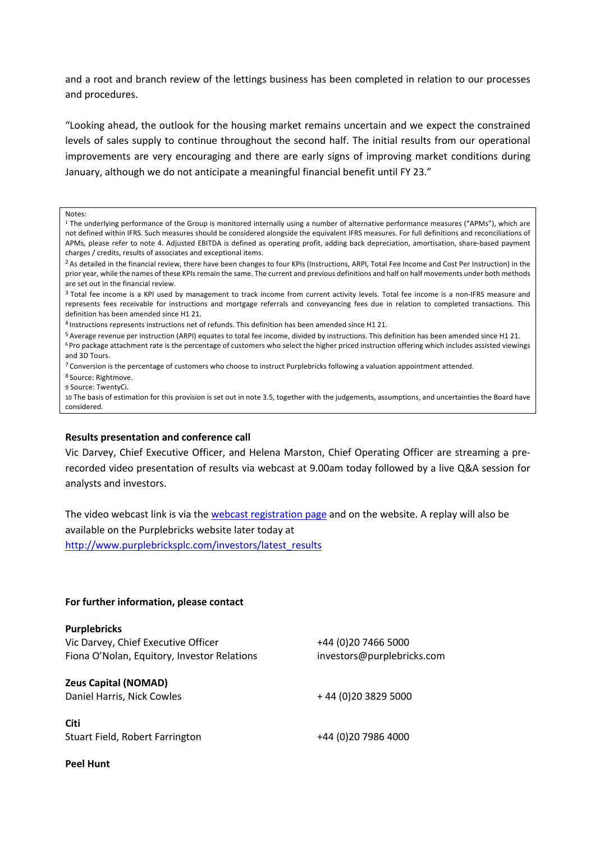and a root and branch review of the lettings business has been completed in relation to our processes and procedures.

"Looking ahead, the outlook for the housing market remains uncertain and we expect the constrained levels of sales supply to continue throughout the second half. The initial results from our operational improvements are very encouraging and there are early signs of improving market conditions during January, although we do not anticipate a meaningful financial benefit until FY 23."

#### Notes:

- <sup>1</sup> The underlying performance of the Group is monitored internally using a number of alternative performance measures ("APMs"), which are not defined within IFRS. Such measures should be considered alongside the equivalent IFRS measures. For full definitions and reconciliations of APMs, please refer to note 4. Adjusted EBITDA is defined as operating profit, adding back depreciation, amortisation, share-based payment charges / credits, results of associates and exceptional items.
- <sup>2</sup> As detailed in the financial review, there have been changes to four KPIs (Instructions, ARPI, Total Fee Income and Cost Per Instruction) in the prior year, while the names of these KPIs remain the same. The current and previous definitions and half on half movements under both methods are set out in the financial review.
- <sup>3</sup> Total fee income is a KPI used by management to track income from current activity levels. Total fee income is a non-IFRS measure and represents fees receivable for instructions and mortgage referrals and conveyancing fees due in relation to completed transactions. This definition has been amended since H1 21.
- <sup>4</sup> Instructions represents instructions net of refunds. This definition has been amended since H1 21.
- 5 Average revenue per instruction (ARPI) equates to total fee income, divided by instructions. This definition has been amended since H1 21. <sup>6</sup> Pro package attachment rate is the percentage of customers who select the higher priced instruction offering which includes assisted viewings and 3D Tours.
- $7$  Conversion is the percentage of customers who choose to instruct Purplebricks following a valuation appointment attended.

<sup>8</sup> Source: Rightmove.

9 Source: TwentyCi.

10 The basis of estimation for this provision is set out in note 3.5, together with the judgements, assumptions, and uncertainties the Board have considered.

#### **Results presentation and conference call**

Vic Darvey, Chief Executive Officer, and Helena Marston, Chief Operating Officer are streaming a prerecorded video presentation of results via webcast at 9.00am today followed by a live Q&A session for analysts and investors.

The video webcast link is via the webcast registration page and on the website. A replay will also be available on the Purplebricks website later today at http://www.purplebricksplc.com/investors/latest\_results

#### **For further information, please contact**

| <b>Purplebricks</b>                         |                            |
|---------------------------------------------|----------------------------|
| Vic Darvey, Chief Executive Officer         | +44 (0)20 7466 5000        |
| Fiona O'Nolan, Equitory, Investor Relations | investors@purplebricks.com |
| <b>Zeus Capital (NOMAD)</b>                 |                            |
| Daniel Harris, Nick Cowles                  | +44 (0) 20 3829 5000       |
| <b>Citi</b>                                 |                            |
| Stuart Field, Robert Farrington             | +44 (0)20 7986 4000        |

#### **Peel Hunt**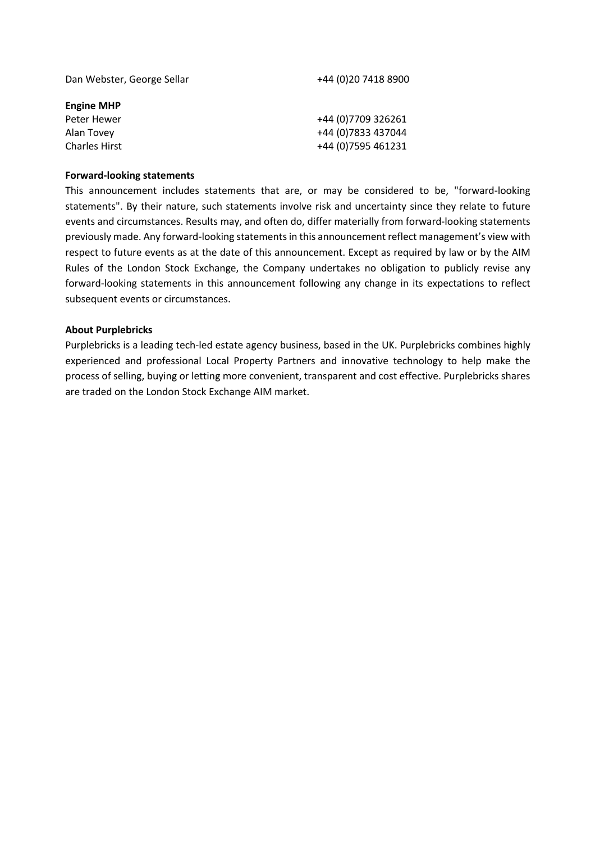| Dan Webster, George Sellar | +44 (0)20 7418 8900 |
|----------------------------|---------------------|
| <b>Engine MHP</b>          |                     |
| Peter Hewer                | +44 (0) 7709 326261 |
| Alan Tovey                 | +44 (0) 7833 437044 |
| <b>Charles Hirst</b>       | +44 (0) 7595 461231 |
|                            |                     |

### **Forward-looking statements**

This announcement includes statements that are, or may be considered to be, "forward-looking statements". By their nature, such statements involve risk and uncertainty since they relate to future events and circumstances. Results may, and often do, differ materially from forward-looking statements previously made. Any forward-looking statements in this announcement reflect management's view with respect to future events as at the date of this announcement. Except as required by law or by the AIM Rules of the London Stock Exchange, the Company undertakes no obligation to publicly revise any forward-looking statements in this announcement following any change in its expectations to reflect subsequent events or circumstances.

### **About Purplebricks**

Purplebricks is a leading tech-led estate agency business, based in the UK. Purplebricks combines highly experienced and professional Local Property Partners and innovative technology to help make the process of selling, buying or letting more convenient, transparent and cost effective. Purplebricks shares are traded on the London Stock Exchange AIM market.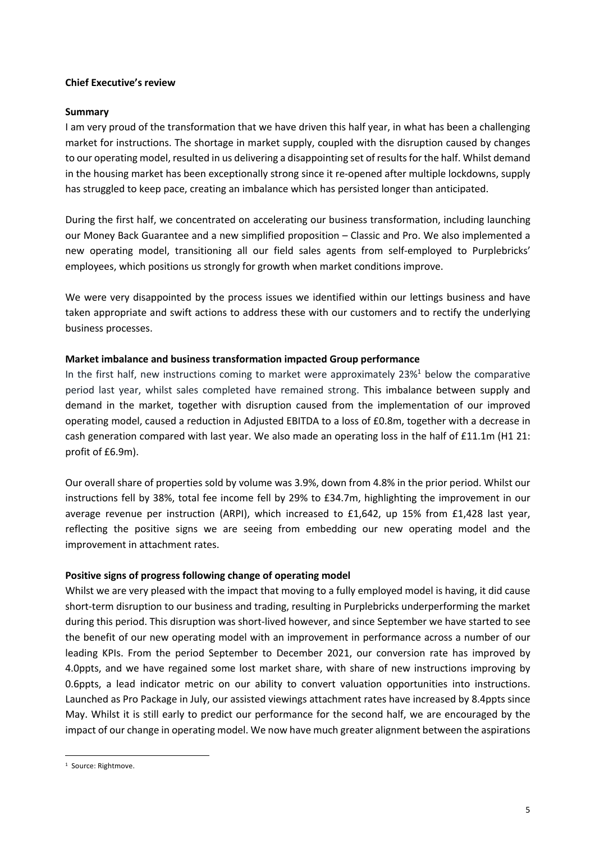### **Chief Executive's review**

## **Summary**

I am very proud of the transformation that we have driven this half year, in what has been a challenging market for instructions. The shortage in market supply, coupled with the disruption caused by changes to our operating model, resulted in us delivering a disappointing set of results for the half. Whilst demand in the housing market has been exceptionally strong since it re-opened after multiple lockdowns, supply has struggled to keep pace, creating an imbalance which has persisted longer than anticipated.

During the first half, we concentrated on accelerating our business transformation, including launching our Money Back Guarantee and a new simplified proposition – Classic and Pro. We also implemented a new operating model, transitioning all our field sales agents from self-employed to Purplebricks' employees, which positions us strongly for growth when market conditions improve.

We were very disappointed by the process issues we identified within our lettings business and have taken appropriate and swift actions to address these with our customers and to rectify the underlying business processes.

## **Market imbalance and business transformation impacted Group performance**

In the first half, new instructions coming to market were approximately  $23\%$ <sup>1</sup> below the comparative period last year, whilst sales completed have remained strong. This imbalance between supply and demand in the market, together with disruption caused from the implementation of our improved operating model, caused a reduction in Adjusted EBITDA to a loss of £0.8m, together with a decrease in cash generation compared with last year. We also made an operating loss in the half of £11.1m (H1 21: profit of £6.9m).

Our overall share of properties sold by volume was 3.9%, down from 4.8% in the prior period. Whilst our instructions fell by 38%, total fee income fell by 29% to £34.7m, highlighting the improvement in our average revenue per instruction (ARPI), which increased to £1,642, up 15% from £1,428 last year, reflecting the positive signs we are seeing from embedding our new operating model and the improvement in attachment rates.

### **Positive signs of progress following change of operating model**

Whilst we are very pleased with the impact that moving to a fully employed model is having, it did cause short-term disruption to our business and trading, resulting in Purplebricks underperforming the market during this period. This disruption was short-lived however, and since September we have started to see the benefit of our new operating model with an improvement in performance across a number of our leading KPIs. From the period September to December 2021, our conversion rate has improved by 4.0ppts, and we have regained some lost market share, with share of new instructions improving by 0.6ppts, a lead indicator metric on our ability to convert valuation opportunities into instructions. Launched as Pro Package in July, our assisted viewings attachment rates have increased by 8.4ppts since May. Whilst it is still early to predict our performance for the second half, we are encouraged by the impact of our change in operating model. We now have much greater alignment between the aspirations

<sup>&</sup>lt;sup>1</sup> Source: Rightmove.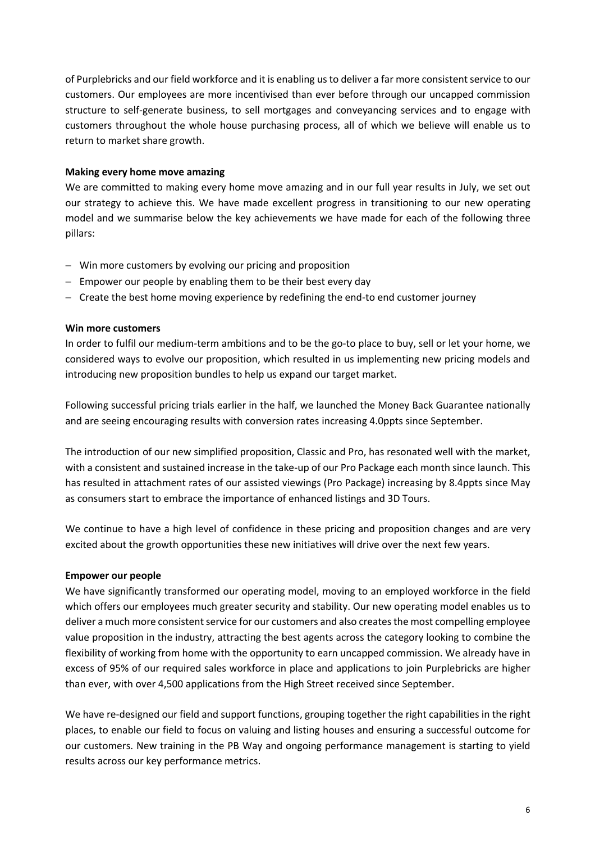of Purplebricks and our field workforce and it is enabling us to deliver a far more consistent service to our customers. Our employees are more incentivised than ever before through our uncapped commission structure to self-generate business, to sell mortgages and conveyancing services and to engage with customers throughout the whole house purchasing process, all of which we believe will enable us to return to market share growth.

### **Making every home move amazing**

We are committed to making every home move amazing and in our full year results in July, we set out our strategy to achieve this. We have made excellent progress in transitioning to our new operating model and we summarise below the key achievements we have made for each of the following three pillars:

- Win more customers by evolving our pricing and proposition
- Empower our people by enabling them to be their best every day
- Create the best home moving experience by redefining the end-to end customer journey

## **Win more customers**

In order to fulfil our medium-term ambitions and to be the go-to place to buy, sell or let your home, we considered ways to evolve our proposition, which resulted in us implementing new pricing models and introducing new proposition bundles to help us expand our target market.

Following successful pricing trials earlier in the half, we launched the Money Back Guarantee nationally and are seeing encouraging results with conversion rates increasing 4.0ppts since September.

The introduction of our new simplified proposition, Classic and Pro, has resonated well with the market, with a consistent and sustained increase in the take-up of our Pro Package each month since launch. This has resulted in attachment rates of our assisted viewings (Pro Package) increasing by 8.4ppts since May as consumers start to embrace the importance of enhanced listings and 3D Tours.

We continue to have a high level of confidence in these pricing and proposition changes and are very excited about the growth opportunities these new initiatives will drive over the next few years.

## **Empower our people**

We have significantly transformed our operating model, moving to an employed workforce in the field which offers our employees much greater security and stability. Our new operating model enables us to deliver a much more consistent service for our customers and also createsthe most compelling employee value proposition in the industry, attracting the best agents across the category looking to combine the flexibility of working from home with the opportunity to earn uncapped commission. We already have in excess of 95% of our required sales workforce in place and applications to join Purplebricks are higher than ever, with over 4,500 applications from the High Street received since September.

We have re-designed our field and support functions, grouping together the right capabilities in the right places, to enable our field to focus on valuing and listing houses and ensuring a successful outcome for our customers. New training in the PB Way and ongoing performance management is starting to yield results across our key performance metrics.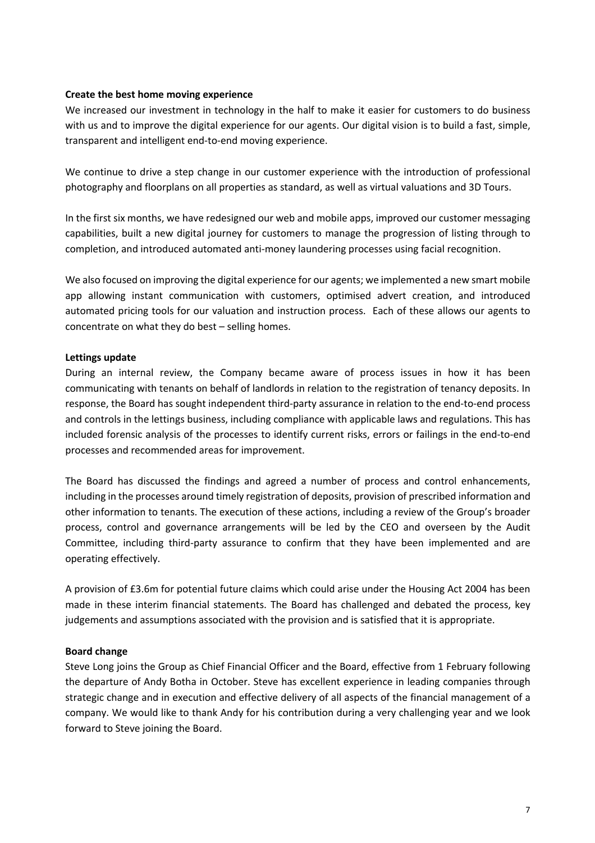### **Create the best home moving experience**

We increased our investment in technology in the half to make it easier for customers to do business with us and to improve the digital experience for our agents. Our digital vision is to build a fast, simple, transparent and intelligent end-to-end moving experience.

We continue to drive a step change in our customer experience with the introduction of professional photography and floorplans on all properties as standard, as well as virtual valuations and 3D Tours.

In the first six months, we have redesigned our web and mobile apps, improved our customer messaging capabilities, built a new digital journey for customers to manage the progression of listing through to completion, and introduced automated anti-money laundering processes using facial recognition.

We also focused on improving the digital experience for our agents; we implemented a new smart mobile app allowing instant communication with customers, optimised advert creation, and introduced automated pricing tools for our valuation and instruction process. Each of these allows our agents to concentrate on what they do best – selling homes.

### **Lettings update**

During an internal review, the Company became aware of process issues in how it has been communicating with tenants on behalf of landlords in relation to the registration of tenancy deposits. In response, the Board has sought independent third-party assurance in relation to the end-to-end process and controls in the lettings business, including compliance with applicable laws and regulations. This has included forensic analysis of the processes to identify current risks, errors or failings in the end-to-end processes and recommended areas for improvement.

The Board has discussed the findings and agreed a number of process and control enhancements, including in the processes around timely registration of deposits, provision of prescribed information and other information to tenants. The execution of these actions, including a review of the Group's broader process, control and governance arrangements will be led by the CEO and overseen by the Audit Committee, including third-party assurance to confirm that they have been implemented and are operating effectively.

A provision of £3.6m for potential future claims which could arise under the Housing Act 2004 has been made in these interim financial statements. The Board has challenged and debated the process, key judgements and assumptions associated with the provision and is satisfied that it is appropriate.

### **Board change**

Steve Long joins the Group as Chief Financial Officer and the Board, effective from 1 February following the departure of Andy Botha in October. Steve has excellent experience in leading companies through strategic change and in execution and effective delivery of all aspects of the financial management of a company. We would like to thank Andy for his contribution during a very challenging year and we look forward to Steve joining the Board.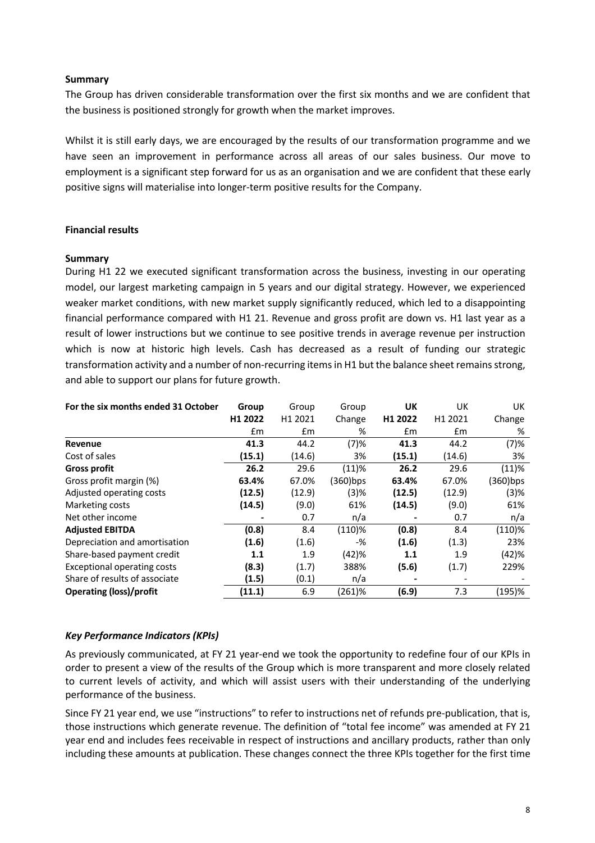### **Summary**

The Group has driven considerable transformation over the first six months and we are confident that the business is positioned strongly for growth when the market improves.

Whilst it is still early days, we are encouraged by the results of our transformation programme and we have seen an improvement in performance across all areas of our sales business. Our move to employment is a significant step forward for us as an organisation and we are confident that these early positive signs will materialise into longer-term positive results for the Company.

## **Financial results**

### **Summary**

During H1 22 we executed significant transformation across the business, investing in our operating model, our largest marketing campaign in 5 years and our digital strategy. However, we experienced weaker market conditions, with new market supply significantly reduced, which led to a disappointing financial performance compared with H1 21. Revenue and gross profit are down vs. H1 last year as a result of lower instructions but we continue to see positive trends in average revenue per instruction which is now at historic high levels. Cash has decreased as a result of funding our strategic transformation activity and a number of non-recurring items in H1 but the balance sheet remains strong, and able to support our plans for future growth.

| For the six months ended 31 October | Group   | Group   | Group     | UK      | UK      | UK.      |
|-------------------------------------|---------|---------|-----------|---------|---------|----------|
|                                     | H1 2022 | H1 2021 | Change    | H1 2022 | H1 2021 | Change   |
|                                     | £m      | Em      | %         | £m      | £m      | %        |
| <b>Revenue</b>                      | 41.3    | 44.2    | (7)%      | 41.3    | 44.2    | (7)%     |
| Cost of sales                       | (15.1)  | (14.6)  | 3%        | (15.1)  | (14.6)  | 3%       |
| <b>Gross profit</b>                 | 26.2    | 29.6    | (11)%     | 26.2    | 29.6    | (11)%    |
| Gross profit margin (%)             | 63.4%   | 67.0%   | (360)bps  | 63.4%   | 67.0%   | (360)bps |
| Adjusted operating costs            | (12.5)  | (12.9)  | (3)%      | (12.5)  | (12.9)  | (3)%     |
| Marketing costs                     | (14.5)  | (9.0)   | 61%       | (14.5)  | (9.0)   | 61%      |
| Net other income                    |         | 0.7     | n/a       |         | 0.7     | n/a      |
| <b>Adjusted EBITDA</b>              | (0.8)   | 8.4     | (110)%    | (0.8)   | 8.4     | (110)%   |
| Depreciation and amortisation       | (1.6)   | (1.6)   | $-%$      | (1.6)   | (1.3)   | 23%      |
| Share-based payment credit          | 1.1     | 1.9     | (42)%     | 1.1     | 1.9     | (42)%    |
| <b>Exceptional operating costs</b>  | (8.3)   | (1.7)   | 388%      | (5.6)   | (1.7)   | 229%     |
| Share of results of associate       | (1.5)   | (0.1)   | n/a       |         |         |          |
| <b>Operating (loss)/profit</b>      | (11.1)  | 6.9     | $(261)$ % | (6.9)   | 7.3     | (195)%   |

## *Key Performance Indicators (KPIs)*

As previously communicated, at FY 21 year-end we took the opportunity to redefine four of our KPIs in order to present a view of the results of the Group which is more transparent and more closely related to current levels of activity, and which will assist users with their understanding of the underlying performance of the business.

Since FY 21 year end, we use "instructions" to refer to instructions net of refunds pre-publication, that is, those instructions which generate revenue. The definition of "total fee income" was amended at FY 21 year end and includes fees receivable in respect of instructions and ancillary products, rather than only including these amounts at publication. These changes connect the three KPIs together for the first time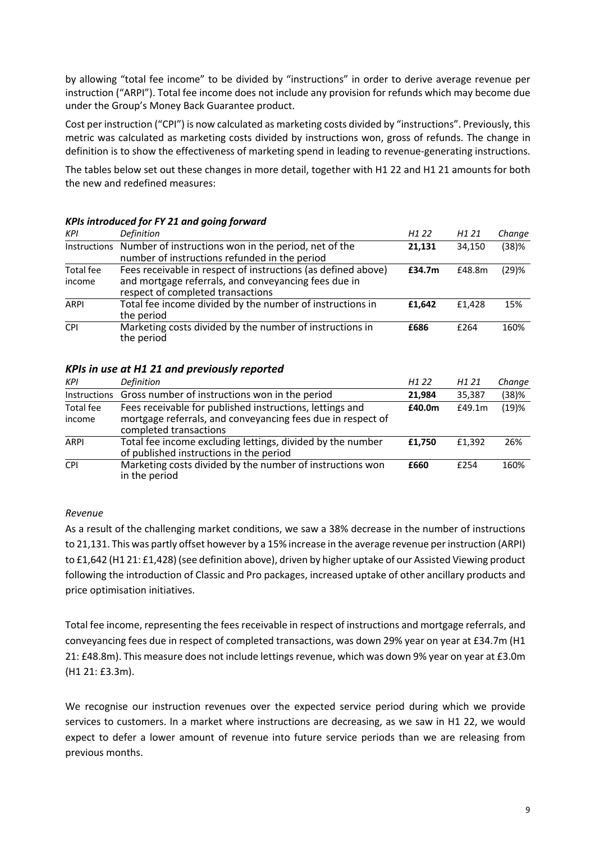by allowing "total fee income" to be divided by "instructions" in order to derive average revenue per instruction ("ARPI"). Total fee income does not include any provision for refunds which may become due under the Group's Money Back Guarantee product.

Cost per instruction ("CPI") is now calculated as marketing costs divided by "instructions". Previously, this metric was calculated as marketing costs divided by instructions won, gross of refunds. The change in definition is to show the effectiveness of marketing spend in leading to revenue-generating instructions.

The tables below set out these changes in more detail, together with H1 22 and H1 21 amounts for both the new and redefined measures:

| <b>KPI</b>          | <b>Definition</b>                                                                                                                                          | H <sub>1</sub> 22 | H1 21  | Change |
|---------------------|------------------------------------------------------------------------------------------------------------------------------------------------------------|-------------------|--------|--------|
| Instructions        | Number of instructions won in the period, net of the<br>number of instructions refunded in the period                                                      | 21,131            | 34.150 | (38)%  |
| Total fee<br>income | Fees receivable in respect of instructions (as defined above)<br>and mortgage referrals, and conveyancing fees due in<br>respect of completed transactions | £34.7m            | £48.8m | (29)%  |
| <b>ARPI</b>         | Total fee income divided by the number of instructions in<br>the period                                                                                    | £1.642            | £1.428 | 15%    |
| <b>CPI</b>          | Marketing costs divided by the number of instructions in<br>the period                                                                                     | £686              | £264   | 160%   |

## *KPIs introduced for FY 21 and going forward*

### *KPIs in use at H1 21 and previously reported*

| <b>KPI</b>          | Definition                                                                                                                                        | H <sub>1</sub> 22 | H1 21  | Change |
|---------------------|---------------------------------------------------------------------------------------------------------------------------------------------------|-------------------|--------|--------|
| Instructions        | Gross number of instructions won in the period                                                                                                    | 21.984            | 35,387 | (38)%  |
| Total fee<br>income | Fees receivable for published instructions, lettings and<br>mortgage referrals, and conveyancing fees due in respect of<br>completed transactions | £40.0m            | £49.1m | (19)%  |
| <b>ARPI</b>         | Total fee income excluding lettings, divided by the number<br>of published instructions in the period                                             | £1.750            | £1.392 | 26%    |
| <b>CPI</b>          | Marketing costs divided by the number of instructions won<br>in the period                                                                        | £660              | f254   | 160%   |

### *Revenue*

As a result of the challenging market conditions, we saw a 38% decrease in the number of instructions to 21,131. This was partly offset however by a 15% increase in the average revenue per instruction (ARPI) to £1,642 (H1 21: £1,428) (see definition above), driven by higher uptake of our Assisted Viewing product following the introduction of Classic and Pro packages, increased uptake of other ancillary products and price optimisation initiatives.

Total fee income, representing the fees receivable in respect of instructions and mortgage referrals, and conveyancing fees due in respect of completed transactions, was down 29% year on year at £34.7m (H1 21: £48.8m). This measure does not include lettings revenue, which was down 9% year on year at £3.0m (H1 21: £3.3m).

We recognise our instruction revenues over the expected service period during which we provide services to customers. In a market where instructions are decreasing, as we saw in H1 22, we would expect to defer a lower amount of revenue into future service periods than we are releasing from previous months.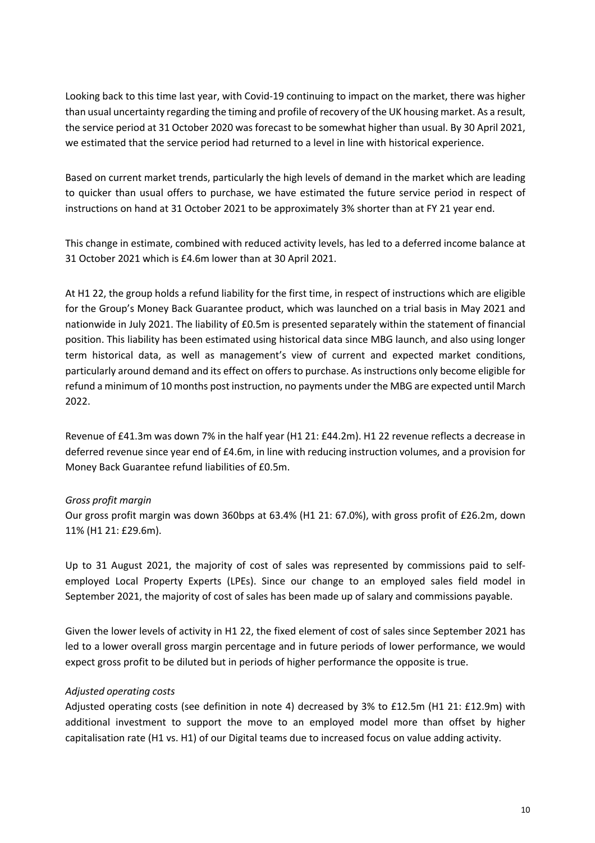Looking back to this time last year, with Covid-19 continuing to impact on the market, there was higher than usual uncertainty regarding the timing and profile of recovery of the UK housing market. As a result, the service period at 31 October 2020 was forecast to be somewhat higher than usual. By 30 April 2021, we estimated that the service period had returned to a level in line with historical experience.

Based on current market trends, particularly the high levels of demand in the market which are leading to quicker than usual offers to purchase, we have estimated the future service period in respect of instructions on hand at 31 October 2021 to be approximately 3% shorter than at FY 21 year end.

This change in estimate, combined with reduced activity levels, has led to a deferred income balance at 31 October 2021 which is £4.6m lower than at 30 April 2021.

At H1 22, the group holds a refund liability for the first time, in respect of instructions which are eligible for the Group's Money Back Guarantee product, which was launched on a trial basis in May 2021 and nationwide in July 2021. The liability of £0.5m is presented separately within the statement of financial position. This liability has been estimated using historical data since MBG launch, and also using longer term historical data, as well as management's view of current and expected market conditions, particularly around demand and its effect on offers to purchase. As instructions only become eligible for refund a minimum of 10 months post instruction, no payments under the MBG are expected until March 2022.

Revenue of £41.3m was down 7% in the half year (H1 21: £44.2m). H1 22 revenue reflects a decrease in deferred revenue since year end of £4.6m, in line with reducing instruction volumes, and a provision for Money Back Guarantee refund liabilities of £0.5m.

### *Gross profit margin*

Our gross profit margin was down 360bps at 63.4% (H1 21: 67.0%), with gross profit of £26.2m, down 11% (H1 21: £29.6m).

Up to 31 August 2021, the majority of cost of sales was represented by commissions paid to selfemployed Local Property Experts (LPEs). Since our change to an employed sales field model in September 2021, the majority of cost of sales has been made up of salary and commissions payable.

Given the lower levels of activity in H1 22, the fixed element of cost of sales since September 2021 has led to a lower overall gross margin percentage and in future periods of lower performance, we would expect gross profit to be diluted but in periods of higher performance the opposite is true.

## *Adjusted operating costs*

Adjusted operating costs (see definition in note 4) decreased by 3% to £12.5m (H1 21: £12.9m) with additional investment to support the move to an employed model more than offset by higher capitalisation rate (H1 vs. H1) of our Digital teams due to increased focus on value adding activity.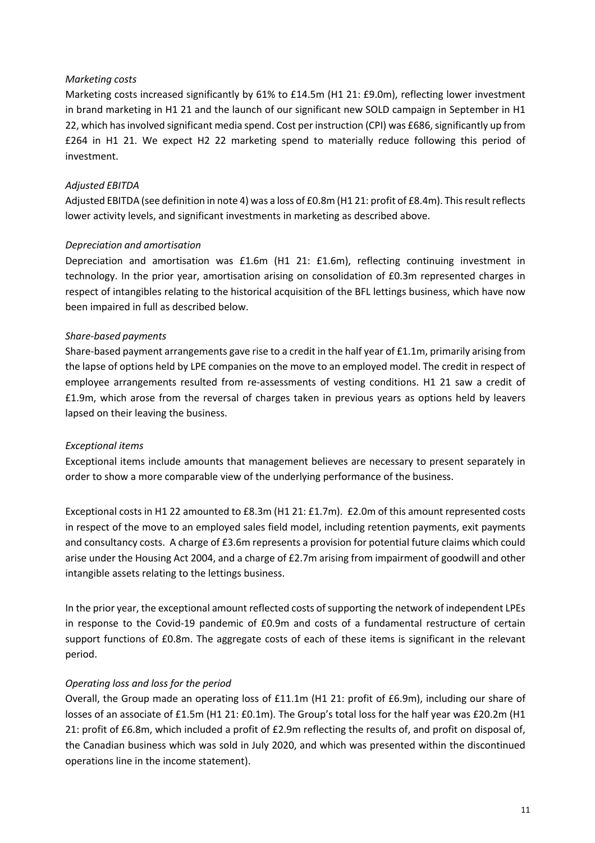## *Marketing costs*

Marketing costs increased significantly by 61% to £14.5m (H1 21: £9.0m), reflecting lower investment in brand marketing in H1 21 and the launch of our significant new SOLD campaign in September in H1 22, which has involved significant media spend. Cost per instruction (CPI) was £686, significantly up from £264 in H1 21. We expect H2 22 marketing spend to materially reduce following this period of investment.

## *Adjusted EBITDA*

Adjusted EBITDA (see definition in note 4) was a loss of £0.8m (H1 21: profit of £8.4m). This result reflects lower activity levels, and significant investments in marketing as described above.

## *Depreciation and amortisation*

Depreciation and amortisation was £1.6m (H1 21: £1.6m), reflecting continuing investment in technology. In the prior year, amortisation arising on consolidation of £0.3m represented charges in respect of intangibles relating to the historical acquisition of the BFL lettings business, which have now been impaired in full as described below.

## *Share-based payments*

Share-based payment arrangements gave rise to a credit in the half year of £1.1m, primarily arising from the lapse of options held by LPE companies on the move to an employed model. The credit in respect of employee arrangements resulted from re-assessments of vesting conditions. H1 21 saw a credit of £1.9m, which arose from the reversal of charges taken in previous years as options held by leavers lapsed on their leaving the business.

## *Exceptional items*

Exceptional items include amounts that management believes are necessary to present separately in order to show a more comparable view of the underlying performance of the business.

Exceptional costs in H1 22 amounted to £8.3m (H1 21: £1.7m). £2.0m of this amount represented costs in respect of the move to an employed sales field model, including retention payments, exit payments and consultancy costs. A charge of £3.6m represents a provision for potential future claims which could arise under the Housing Act 2004, and a charge of £2.7m arising from impairment of goodwill and other intangible assets relating to the lettings business.

In the prior year, the exceptional amount reflected costs of supporting the network of independent LPEs in response to the Covid-19 pandemic of £0.9m and costs of a fundamental restructure of certain support functions of £0.8m. The aggregate costs of each of these items is significant in the relevant period.

## *Operating loss and loss for the period*

Overall, the Group made an operating loss of £11.1m (H1 21: profit of £6.9m), including our share of losses of an associate of £1.5m (H1 21: £0.1m). The Group's total loss for the half year was £20.2m (H1 21: profit of £6.8m, which included a profit of £2.9m reflecting the results of, and profit on disposal of, the Canadian business which was sold in July 2020, and which was presented within the discontinued operations line in the income statement).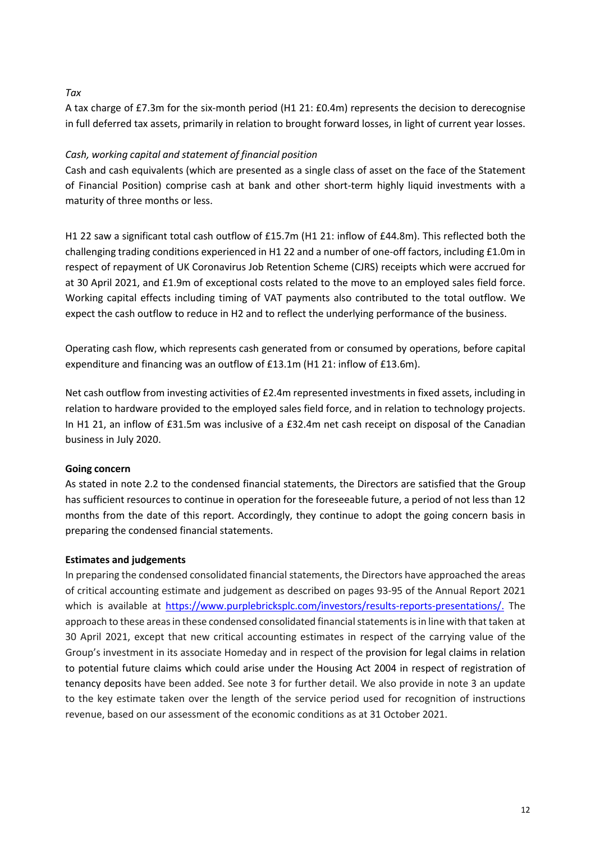## *Tax*

A tax charge of £7.3m for the six-month period (H1 21: £0.4m) represents the decision to derecognise in full deferred tax assets, primarily in relation to brought forward losses, in light of current year losses.

## *Cash, working capital and statement of financial position*

Cash and cash equivalents (which are presented as a single class of asset on the face of the Statement of Financial Position) comprise cash at bank and other short-term highly liquid investments with a maturity of three months or less.

H1 22 saw a significant total cash outflow of £15.7m (H1 21: inflow of £44.8m). This reflected both the challenging trading conditions experienced in H1 22 and a number of one-off factors, including £1.0m in respect of repayment of UK Coronavirus Job Retention Scheme (CJRS) receipts which were accrued for at 30 April 2021, and £1.9m of exceptional costs related to the move to an employed sales field force. Working capital effects including timing of VAT payments also contributed to the total outflow. We expect the cash outflow to reduce in H2 and to reflect the underlying performance of the business.

Operating cash flow, which represents cash generated from or consumed by operations, before capital expenditure and financing was an outflow of £13.1m (H1 21: inflow of £13.6m).

Net cash outflow from investing activities of £2.4m represented investments in fixed assets, including in relation to hardware provided to the employed sales field force, and in relation to technology projects. In H1 21, an inflow of £31.5m was inclusive of a £32.4m net cash receipt on disposal of the Canadian business in July 2020.

## **Going concern**

As stated in note 2.2 to the condensed financial statements, the Directors are satisfied that the Group has sufficient resources to continue in operation for the foreseeable future, a period of not less than 12 months from the date of this report. Accordingly, they continue to adopt the going concern basis in preparing the condensed financial statements.

## **Estimates and judgements**

In preparing the condensed consolidated financial statements, the Directors have approached the areas of critical accounting estimate and judgement as described on pages 93-95 of the Annual Report 2021 which is available at https://www.purplebricksplc.com/investors/results-reports-presentations/. The approach to these areas in these condensed consolidated financial statements is in line with that taken at 30 April 2021, except that new critical accounting estimates in respect of the carrying value of the Group's investment in its associate Homeday and in respect of the provision for legal claims in relation to potential future claims which could arise under the Housing Act 2004 in respect of registration of tenancy deposits have been added. See note 3 for further detail. We also provide in note 3 an update to the key estimate taken over the length of the service period used for recognition of instructions revenue, based on our assessment of the economic conditions as at 31 October 2021.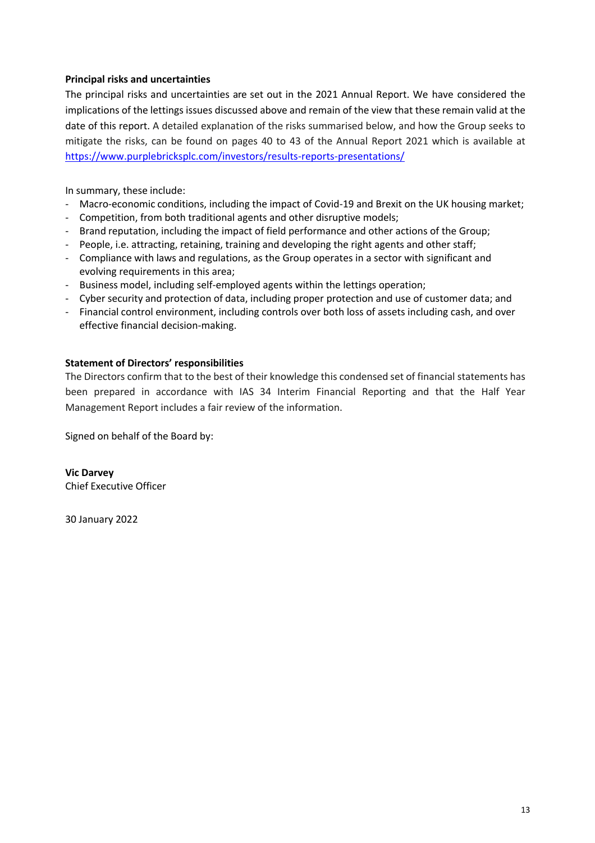## **Principal risks and uncertainties**

The principal risks and uncertainties are set out in the 2021 Annual Report. We have considered the implications of the lettings issues discussed above and remain of the view that these remain valid at the date of this report. A detailed explanation of the risks summarised below, and how the Group seeks to mitigate the risks, can be found on pages 40 to 43 of the Annual Report 2021 which is available at https://www.purplebricksplc.com/investors/results-reports-presentations/

In summary, these include:

- Macro-economic conditions, including the impact of Covid-19 and Brexit on the UK housing market;
- Competition, from both traditional agents and other disruptive models;
- Brand reputation, including the impact of field performance and other actions of the Group;
- People, i.e. attracting, retaining, training and developing the right agents and other staff;
- Compliance with laws and regulations, as the Group operates in a sector with significant and evolving requirements in this area;
- Business model, including self-employed agents within the lettings operation;
- Cyber security and protection of data, including proper protection and use of customer data; and
- Financial control environment, including controls over both loss of assets including cash, and over effective financial decision-making.

## **Statement of Directors' responsibilities**

The Directors confirm that to the best of their knowledge this condensed set of financial statements has been prepared in accordance with IAS 34 Interim Financial Reporting and that the Half Year Management Report includes a fair review of the information.

Signed on behalf of the Board by:

**Vic Darvey** Chief Executive Officer

30 January 2022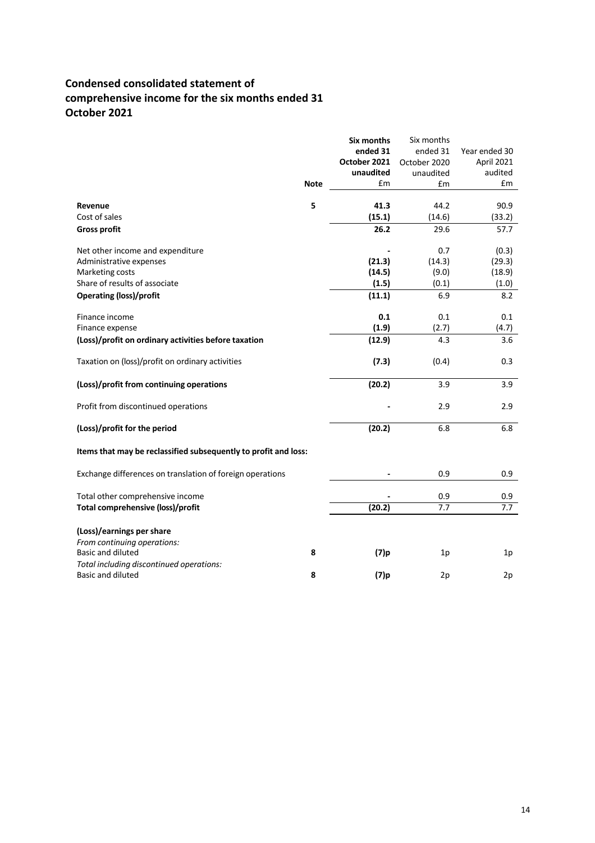# **Condensed consolidated statement of comprehensive income for the six months ended 31 October 2021**

|                                                                 |             | Six months   | Six months   |               |
|-----------------------------------------------------------------|-------------|--------------|--------------|---------------|
|                                                                 |             | ended 31     | ended 31     | Year ended 30 |
|                                                                 |             | October 2021 | October 2020 | April 2021    |
|                                                                 |             | unaudited    | unaudited    | audited       |
|                                                                 | <b>Note</b> | £m           | £m           | £m            |
| Revenue                                                         | 5           | 41.3         | 44.2         | 90.9          |
| Cost of sales                                                   |             | (15.1)       | (14.6)       | (33.2)        |
| <b>Gross profit</b>                                             |             | 26.2         | 29.6         | 57.7          |
| Net other income and expenditure                                |             |              | 0.7          | (0.3)         |
| Administrative expenses                                         |             | (21.3)       | (14.3)       | (29.3)        |
| Marketing costs                                                 |             | (14.5)       | (9.0)        | (18.9)        |
| Share of results of associate                                   |             | (1.5)        | (0.1)        | (1.0)         |
| <b>Operating (loss)/profit</b>                                  |             | (11.1)       | 6.9          | 8.2           |
| Finance income                                                  |             | 0.1          | 0.1          | 0.1           |
| Finance expense                                                 |             | (1.9)        | (2.7)        | (4.7)         |
| (Loss)/profit on ordinary activities before taxation            |             | (12.9)       | 4.3          | 3.6           |
| Taxation on (loss)/profit on ordinary activities                |             | (7.3)        | (0.4)        | 0.3           |
| (Loss)/profit from continuing operations                        |             | (20.2)       | 3.9          | 3.9           |
| Profit from discontinued operations                             |             |              | 2.9          | 2.9           |
| (Loss)/profit for the period                                    |             | (20.2)       | 6.8          | 6.8           |
| Items that may be reclassified subsequently to profit and loss: |             |              |              |               |
| Exchange differences on translation of foreign operations       |             |              | 0.9          | 0.9           |
| Total other comprehensive income                                |             |              | 0.9          | 0.9           |
| Total comprehensive (loss)/profit                               |             | (20.2)       | 7.7          | 7.7           |
| (Loss)/earnings per share                                       |             |              |              |               |
| From continuing operations:                                     |             |              |              |               |
| <b>Basic and diluted</b>                                        | 8           | $(7)$ p      | 1p           | 1p            |
| Total including discontinued operations:                        |             |              |              |               |
| Basic and diluted                                               | 8           | (7)p         | 2p           | 2p            |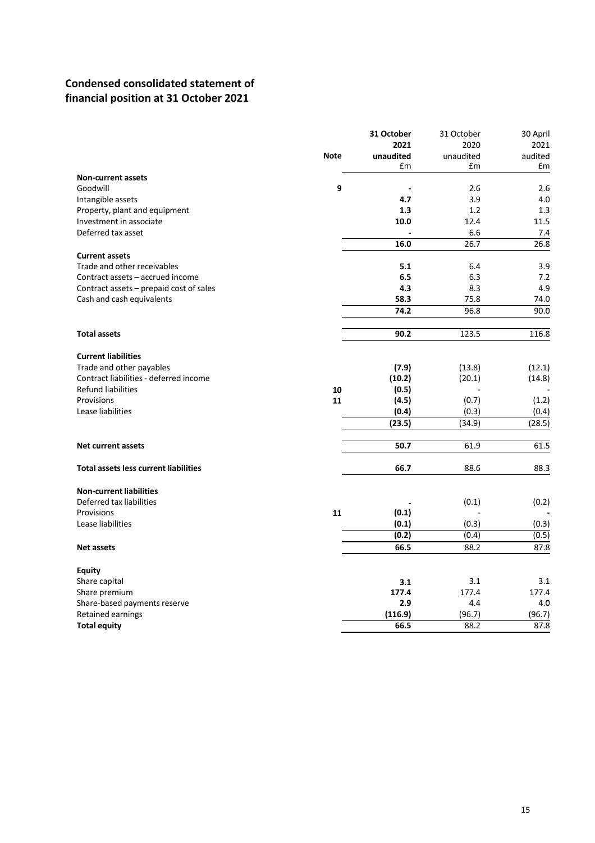# **Condensed consolidated statement of financial position at 31 October 2021**

|                                              |             | 31 October | 31 October | 30 April |
|----------------------------------------------|-------------|------------|------------|----------|
|                                              |             | 2021       | 2020       | 2021     |
|                                              | <b>Note</b> | unaudited  | unaudited  | audited  |
|                                              |             | £m         | £m         | £m       |
| <b>Non-current assets</b>                    |             |            |            |          |
| Goodwill                                     | 9           |            | 2.6        | 2.6      |
| Intangible assets                            |             | 4.7        | 3.9        | 4.0      |
| Property, plant and equipment                |             | 1.3        | 1.2        | 1.3      |
| Investment in associate                      |             | 10.0       | 12.4       | 11.5     |
| Deferred tax asset                           |             |            | 6.6        | 7.4      |
|                                              |             | 16.0       | 26.7       | 26.8     |
| <b>Current assets</b>                        |             |            |            |          |
| Trade and other receivables                  |             | 5.1        | 6.4        | 3.9      |
| Contract assets - accrued income             |             | 6.5        | 6.3        | 7.2      |
| Contract assets - prepaid cost of sales      |             | 4.3        | 8.3        | 4.9      |
| Cash and cash equivalents                    |             | 58.3       | 75.8       | 74.0     |
|                                              |             | 74.2       | 96.8       | 90.0     |
|                                              |             |            |            |          |
| <b>Total assets</b>                          |             | 90.2       | 123.5      | 116.8    |
| <b>Current liabilities</b>                   |             |            |            |          |
| Trade and other payables                     |             | (7.9)      | (13.8)     | (12.1)   |
| Contract liabilities - deferred income       |             | (10.2)     | (20.1)     | (14.8)   |
| Refund liabilities                           | 10          | (0.5)      |            |          |
| Provisions                                   | 11          | (4.5)      | (0.7)      | (1.2)    |
| Lease liabilities                            |             | (0.4)      | (0.3)      | (0.4)    |
|                                              |             | (23.5)     | (34.9)     | (28.5)   |
|                                              |             |            |            |          |
| <b>Net current assets</b>                    |             | 50.7       | 61.9       | 61.5     |
|                                              |             |            |            |          |
| <b>Total assets less current liabilities</b> |             | 66.7       | 88.6       | 88.3     |
| <b>Non-current liabilities</b>               |             |            |            |          |
| Deferred tax liabilities                     |             |            | (0.1)      | (0.2)    |
| Provisions                                   | 11          | (0.1)      |            |          |
| Lease liabilities                            |             | (0.1)      | (0.3)      | (0.3)    |
|                                              |             | (0.2)      | (0.4)      | (0.5)    |
| <b>Net assets</b>                            |             | 66.5       | 88.2       | 87.8     |
|                                              |             |            |            |          |
| <b>Equity</b>                                |             |            |            |          |
| Share capital                                |             | 3.1        | 3.1        | 3.1      |
| Share premium                                |             | 177.4      | 177.4      | 177.4    |
| Share-based payments reserve                 |             | 2.9        | 4.4        | 4.0      |
| Retained earnings                            |             | (116.9)    | (96.7)     | (96.7)   |
| <b>Total equity</b>                          |             | 66.5       | 88.2       | 87.8     |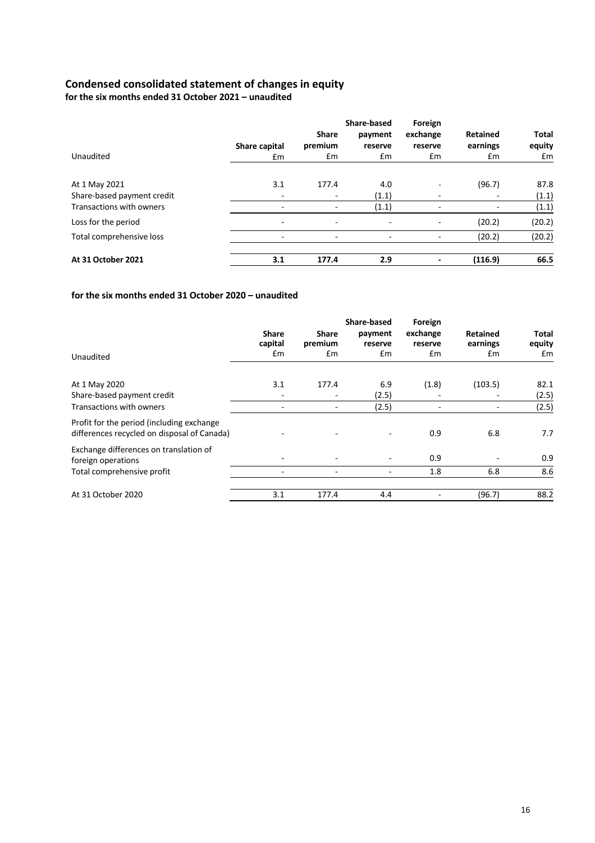### **Condensed consolidated statement of changes in equity**

**for the six months ended 31 October 2021 – unaudited** 

|                            |                          | <b>Share</b>             | Share-based<br>payment | Foreign<br>exchange | Retained | <b>Total</b> |
|----------------------------|--------------------------|--------------------------|------------------------|---------------------|----------|--------------|
|                            | Share capital            | premium                  | reserve                | reserve             | earnings | equity       |
| Unaudited                  | £m                       | Em                       | Em                     | £m                  | £m       | £m           |
| At 1 May 2021              | 3.1                      | 177.4                    | 4.0                    | ۰                   | (96.7)   | 87.8         |
| Share-based payment credit |                          | $\overline{\phantom{0}}$ | (1.1)                  |                     |          | (1.1)        |
| Transactions with owners   |                          |                          | (1.1)                  |                     |          | (1.1)        |
| Loss for the period        | $\overline{\phantom{a}}$ | $\overline{\phantom{0}}$ | ٠                      | ۰                   | (20.2)   | (20.2)       |
| Total comprehensive loss   |                          |                          |                        |                     | (20.2)   | (20.2)       |
| At 31 October 2021         | 3.1                      | 177.4                    | 2.9                    |                     | (116.9)  | 66.5         |

### **for the six months ended 31 October 2020 – unaudited**

| Unaudited                                                                                | <b>Share</b><br>capital<br>£m | Share<br>premium<br>£m | Share-based<br>payment<br>reserve<br>£m | Foreign<br>exchange<br>reserve<br>Em | <b>Retained</b><br>earnings<br>£m | Total<br>equity<br>£m |
|------------------------------------------------------------------------------------------|-------------------------------|------------------------|-----------------------------------------|--------------------------------------|-----------------------------------|-----------------------|
| At 1 May 2020<br>Share-based payment credit                                              | 3.1                           | 177.4                  | 6.9<br>(2.5)                            | (1.8)                                | (103.5)                           | 82.1<br>(2.5)         |
| <b>Transactions with owners</b>                                                          |                               |                        | (2.5)                                   |                                      |                                   | (2.5)                 |
| Profit for the period (including exchange<br>differences recycled on disposal of Canada) |                               |                        |                                         | 0.9                                  | 6.8                               | 7.7                   |
| Exchange differences on translation of<br>foreign operations                             |                               |                        | ۰                                       | 0.9                                  |                                   | 0.9                   |
| Total comprehensive profit                                                               |                               |                        | ۰                                       | 1.8                                  | 6.8                               | 8.6                   |
| At 31 October 2020                                                                       | 3.1                           | 177.4                  | 4.4                                     |                                      | (96.7)                            | 88.2                  |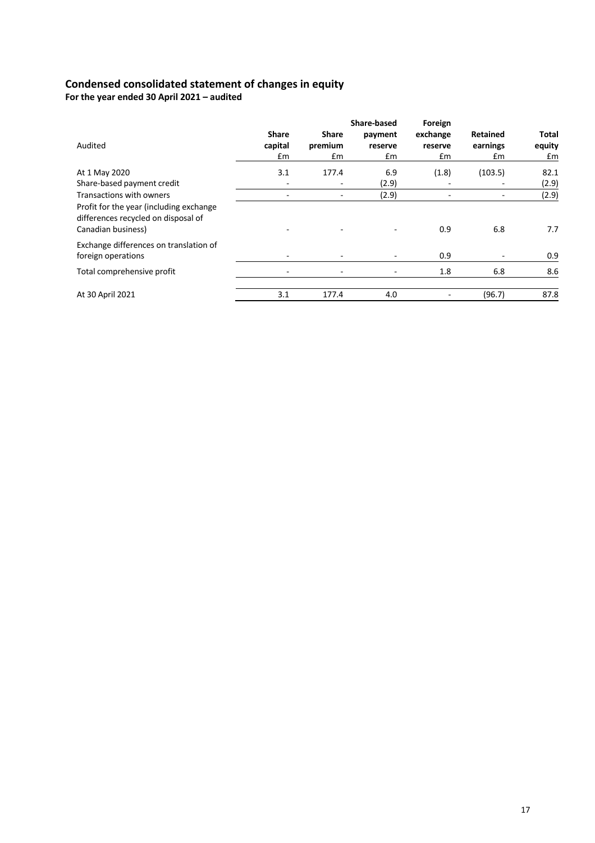## **Condensed consolidated statement of changes in equity**

**For the year ended 30 April 2021 – audited** 

|                                                                                                      |                               |                               | <b>Share-based</b>       | Foreign                   |                            |                              |
|------------------------------------------------------------------------------------------------------|-------------------------------|-------------------------------|--------------------------|---------------------------|----------------------------|------------------------------|
| Audited                                                                                              | <b>Share</b><br>capital<br>£m | <b>Share</b><br>premium<br>£m | payment<br>reserve<br>£m | exchange<br>reserve<br>£m | Retained<br>earnings<br>£m | <b>Total</b><br>equity<br>£m |
| At 1 May 2020                                                                                        | 3.1                           | 177.4                         | 6.9                      | (1.8)                     | (103.5)                    | 82.1                         |
| Share-based payment credit                                                                           |                               |                               | (2.9)                    |                           |                            | (2.9)                        |
| Transactions with owners                                                                             |                               |                               | (2.9)                    |                           |                            | (2.9)                        |
| Profit for the year (including exchange<br>differences recycled on disposal of<br>Canadian business) |                               |                               | $\equiv$                 | 0.9                       | 6.8                        | 7.7                          |
| Exchange differences on translation of<br>foreign operations                                         |                               |                               |                          | 0.9                       |                            | 0.9                          |
| Total comprehensive profit                                                                           |                               |                               | ۰                        | 1.8                       | 6.8                        | 8.6                          |
| At 30 April 2021                                                                                     | 3.1                           | 177.4                         | 4.0                      |                           | (96.7)                     | 87.8                         |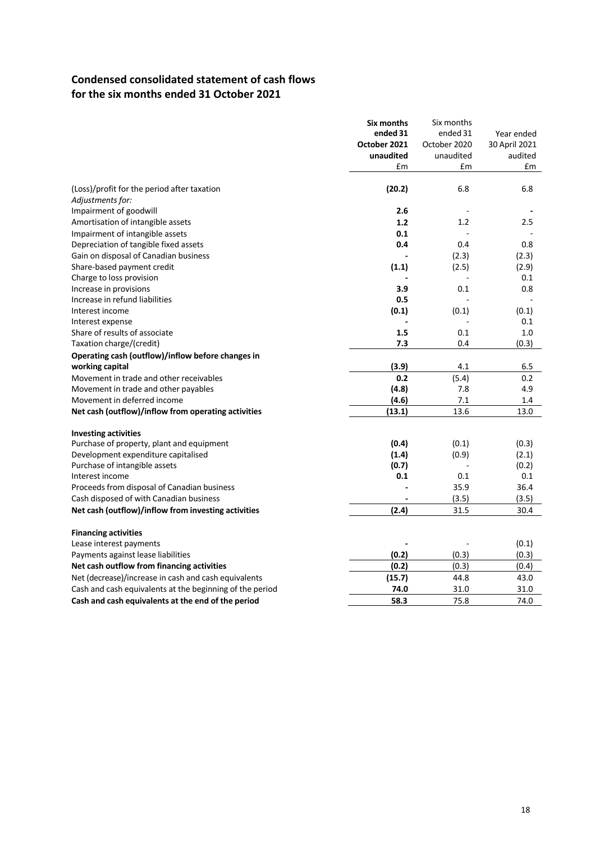# **Condensed consolidated statement of cash flows for the six months ended 31 October 2021**

|                                                          | Six months   | Six months   |               |
|----------------------------------------------------------|--------------|--------------|---------------|
|                                                          | ended 31     | ended 31     | Year ended    |
|                                                          | October 2021 | October 2020 | 30 April 2021 |
|                                                          | unaudited    | unaudited    | audited       |
|                                                          | £m           | £m           | £m            |
| (Loss)/profit for the period after taxation              | (20.2)       | 6.8          | 6.8           |
| Adjustments for:                                         |              |              |               |
| Impairment of goodwill                                   | 2.6          |              |               |
| Amortisation of intangible assets                        | 1.2          | 1.2          | 2.5           |
| Impairment of intangible assets                          | 0.1          |              |               |
| Depreciation of tangible fixed assets                    | 0.4          | 0.4          | 0.8           |
| Gain on disposal of Canadian business                    |              | (2.3)        | (2.3)         |
|                                                          |              |              |               |
| Share-based payment credit                               | (1.1)        | (2.5)        | (2.9)<br>0.1  |
| Charge to loss provision                                 |              |              |               |
| Increase in provisions                                   | 3.9          | 0.1          | 0.8           |
| Increase in refund liabilities                           | 0.5          |              |               |
| Interest income                                          | (0.1)        | (0.1)        | (0.1)         |
| Interest expense                                         |              |              | 0.1           |
| Share of results of associate                            | 1.5          | 0.1          | 1.0           |
| Taxation charge/(credit)                                 | 7.3          | 0.4          | (0.3)         |
| Operating cash (outflow)/inflow before changes in        |              |              |               |
| working capital                                          | (3.9)        | 4.1          | 6.5           |
| Movement in trade and other receivables                  | 0.2          | (5.4)        | 0.2           |
| Movement in trade and other payables                     | (4.8)        | 7.8          | 4.9           |
| Movement in deferred income                              | (4.6)        | 7.1          | 1.4           |
| Net cash (outflow)/inflow from operating activities      | (13.1)       | 13.6         | 13.0          |
| <b>Investing activities</b>                              |              |              |               |
| Purchase of property, plant and equipment                | (0.4)        | (0.1)        | (0.3)         |
| Development expenditure capitalised                      | (1.4)        | (0.9)        | (2.1)         |
| Purchase of intangible assets                            | (0.7)        |              | (0.2)         |
| Interest income                                          | 0.1          | 0.1          | 0.1           |
| Proceeds from disposal of Canadian business              |              | 35.9         | 36.4          |
| Cash disposed of with Canadian business                  |              | (3.5)        | (3.5)         |
| Net cash (outflow)/inflow from investing activities      | (2.4)        | 31.5         | 30.4          |
| <b>Financing activities</b>                              |              |              |               |
| Lease interest payments                                  |              |              | (0.1)         |
| Payments against lease liabilities                       | (0.2)        | (0.3)        | (0.3)         |
| Net cash outflow from financing activities               | (0.2)        | (0.3)        | (0.4)         |
| Net (decrease)/increase in cash and cash equivalents     | (15.7)       | 44.8         | 43.0          |
|                                                          | 74.0         | 31.0         | 31.0          |
| Cash and cash equivalents at the beginning of the period |              |              |               |
| Cash and cash equivalents at the end of the period       | 58.3         | 75.8         | 74.0          |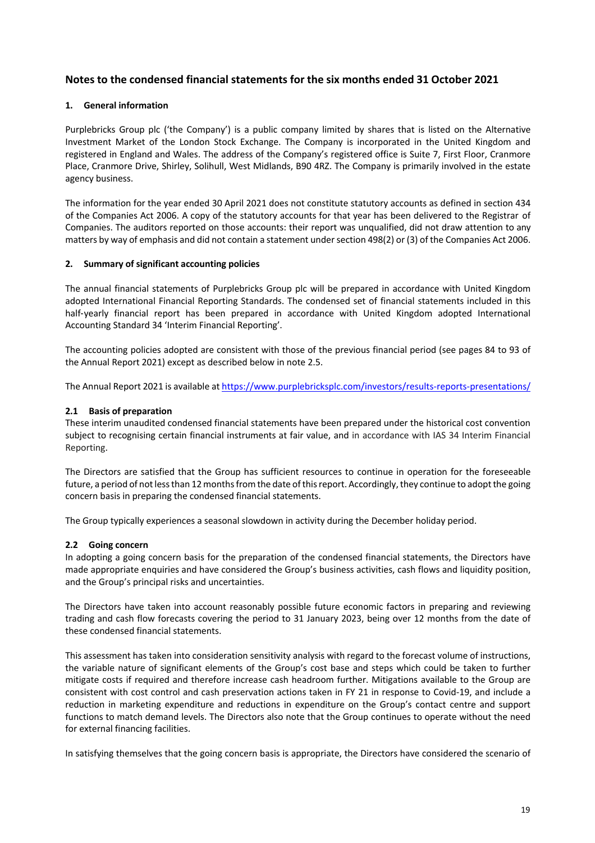## **Notes to the condensed financial statements for the six months ended 31 October 2021**

### **1. General information**

Purplebricks Group plc ('the Company') is a public company limited by shares that is listed on the Alternative Investment Market of the London Stock Exchange. The Company is incorporated in the United Kingdom and registered in England and Wales. The address of the Company's registered office is Suite 7, First Floor, Cranmore Place, Cranmore Drive, Shirley, Solihull, West Midlands, B90 4RZ. The Company is primarily involved in the estate agency business.

The information for the year ended 30 April 2021 does not constitute statutory accounts as defined in section 434 of the Companies Act 2006. A copy of the statutory accounts for that year has been delivered to the Registrar of Companies. The auditors reported on those accounts: their report was unqualified, did not draw attention to any matters by way of emphasis and did not contain a statement under section 498(2) or (3) of the Companies Act 2006.

### **2. Summary of significant accounting policies**

The annual financial statements of Purplebricks Group plc will be prepared in accordance with United Kingdom adopted International Financial Reporting Standards. The condensed set of financial statements included in this half-yearly financial report has been prepared in accordance with United Kingdom adopted International Accounting Standard 34 'Interim Financial Reporting'.

The accounting policies adopted are consistent with those of the previous financial period (see pages 84 to 93 of the Annual Report 2021) except as described below in note 2.5.

The Annual Report 2021 is available at https://www.purplebricksplc.com/investors/results-reports-presentations/

### **2.1 Basis of preparation**

These interim unaudited condensed financial statements have been prepared under the historical cost convention subject to recognising certain financial instruments at fair value, and in accordance with IAS 34 Interim Financial Reporting.

The Directors are satisfied that the Group has sufficient resources to continue in operation for the foreseeable future, a period of not less than 12 months from the date of this report. Accordingly, they continue to adopt the going concern basis in preparing the condensed financial statements.

The Group typically experiences a seasonal slowdown in activity during the December holiday period.

### **2.2 Going concern**

In adopting a going concern basis for the preparation of the condensed financial statements, the Directors have made appropriate enquiries and have considered the Group's business activities, cash flows and liquidity position, and the Group's principal risks and uncertainties.

The Directors have taken into account reasonably possible future economic factors in preparing and reviewing trading and cash flow forecasts covering the period to 31 January 2023, being over 12 months from the date of these condensed financial statements.

This assessment has taken into consideration sensitivity analysis with regard to the forecast volume of instructions, the variable nature of significant elements of the Group's cost base and steps which could be taken to further mitigate costs if required and therefore increase cash headroom further. Mitigations available to the Group are consistent with cost control and cash preservation actions taken in FY 21 in response to Covid-19, and include a reduction in marketing expenditure and reductions in expenditure on the Group's contact centre and support functions to match demand levels. The Directors also note that the Group continues to operate without the need for external financing facilities.

In satisfying themselves that the going concern basis is appropriate, the Directors have considered the scenario of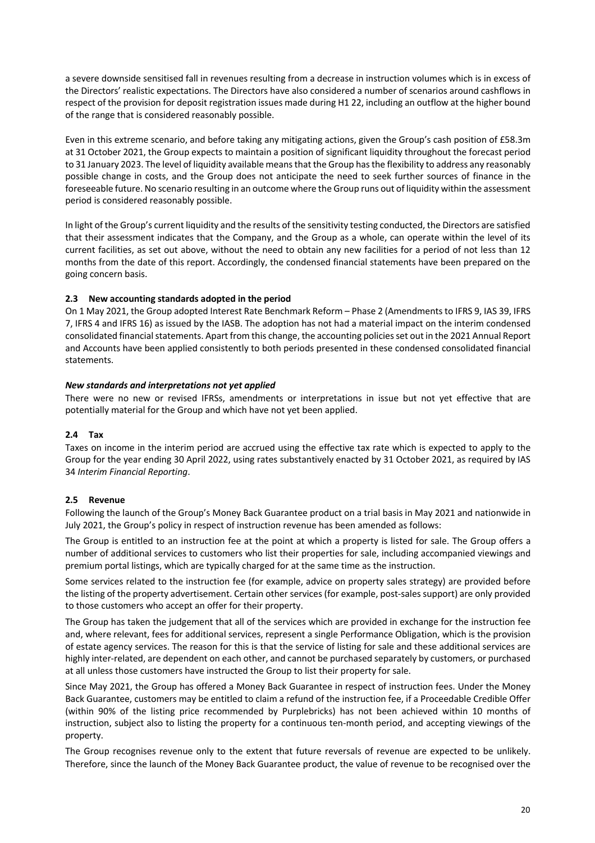a severe downside sensitised fall in revenues resulting from a decrease in instruction volumes which is in excess of the Directors' realistic expectations. The Directors have also considered a number of scenarios around cashflows in respect of the provision for deposit registration issues made during H1 22, including an outflow at the higher bound of the range that is considered reasonably possible.

Even in this extreme scenario, and before taking any mitigating actions, given the Group's cash position of £58.3m at 31 October 2021, the Group expects to maintain a position of significant liquidity throughout the forecast period to 31 January 2023. The level of liquidity available means that the Group has the flexibility to address any reasonably possible change in costs, and the Group does not anticipate the need to seek further sources of finance in the foreseeable future. No scenario resulting in an outcome where the Group runs out of liquidity within the assessment period is considered reasonably possible.

In light of the Group's current liquidity and the results of the sensitivity testing conducted, the Directors are satisfied that their assessment indicates that the Company, and the Group as a whole, can operate within the level of its current facilities, as set out above, without the need to obtain any new facilities for a period of not less than 12 months from the date of this report. Accordingly, the condensed financial statements have been prepared on the going concern basis.

### **2.3 New accounting standards adopted in the period**

On 1 May 2021, the Group adopted Interest Rate Benchmark Reform – Phase 2 (Amendments to IFRS 9, IAS 39, IFRS 7, IFRS 4 and IFRS 16) as issued by the IASB. The adoption has not had a material impact on the interim condensed consolidated financial statements. Apart from this change, the accounting policies set out in the 2021 Annual Report and Accounts have been applied consistently to both periods presented in these condensed consolidated financial statements.

### *New standards and interpretations not yet applied*

There were no new or revised IFRSs, amendments or interpretations in issue but not yet effective that are potentially material for the Group and which have not yet been applied.

### **2.4 Tax**

Taxes on income in the interim period are accrued using the effective tax rate which is expected to apply to the Group for the year ending 30 April 2022, using rates substantively enacted by 31 October 2021, as required by IAS 34 *Interim Financial Reporting*.

### **2.5 Revenue**

Following the launch of the Group's Money Back Guarantee product on a trial basis in May 2021 and nationwide in July 2021, the Group's policy in respect of instruction revenue has been amended as follows:

The Group is entitled to an instruction fee at the point at which a property is listed for sale. The Group offers a number of additional services to customers who list their properties for sale, including accompanied viewings and premium portal listings, which are typically charged for at the same time as the instruction.

Some services related to the instruction fee (for example, advice on property sales strategy) are provided before the listing of the property advertisement. Certain other services (for example, post-sales support) are only provided to those customers who accept an offer for their property.

The Group has taken the judgement that all of the services which are provided in exchange for the instruction fee and, where relevant, fees for additional services, represent a single Performance Obligation, which is the provision of estate agency services. The reason for this is that the service of listing for sale and these additional services are highly inter-related, are dependent on each other, and cannot be purchased separately by customers, or purchased at all unless those customers have instructed the Group to list their property for sale.

Since May 2021, the Group has offered a Money Back Guarantee in respect of instruction fees. Under the Money Back Guarantee, customers may be entitled to claim a refund of the instruction fee, if a Proceedable Credible Offer (within 90% of the listing price recommended by Purplebricks) has not been achieved within 10 months of instruction, subject also to listing the property for a continuous ten-month period, and accepting viewings of the property.

The Group recognises revenue only to the extent that future reversals of revenue are expected to be unlikely. Therefore, since the launch of the Money Back Guarantee product, the value of revenue to be recognised over the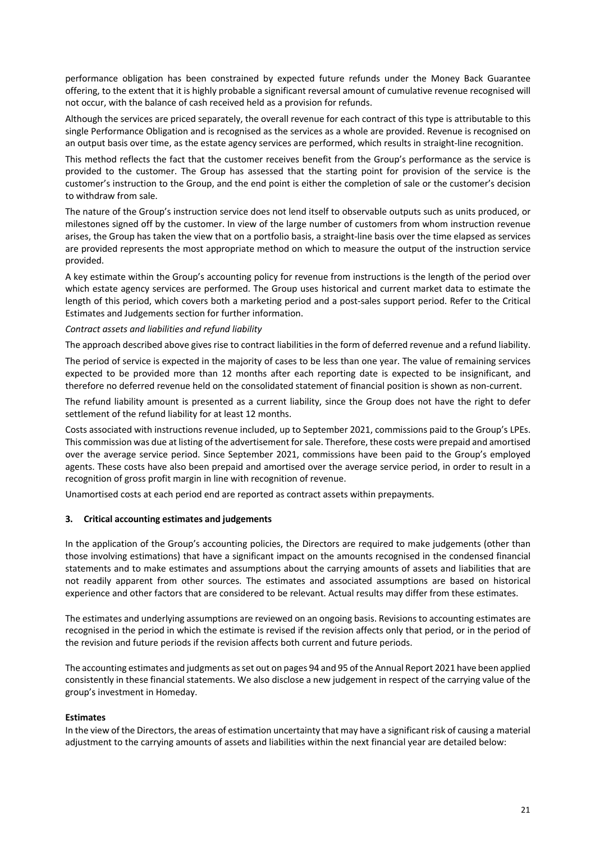performance obligation has been constrained by expected future refunds under the Money Back Guarantee offering, to the extent that it is highly probable a significant reversal amount of cumulative revenue recognised will not occur, with the balance of cash received held as a provision for refunds.

Although the services are priced separately, the overall revenue for each contract of this type is attributable to this single Performance Obligation and is recognised as the services as a whole are provided. Revenue is recognised on an output basis over time, as the estate agency services are performed, which results in straight-line recognition.

This method reflects the fact that the customer receives benefit from the Group's performance as the service is provided to the customer. The Group has assessed that the starting point for provision of the service is the customer's instruction to the Group, and the end point is either the completion of sale or the customer's decision to withdraw from sale.

The nature of the Group's instruction service does not lend itself to observable outputs such as units produced, or milestones signed off by the customer. In view of the large number of customers from whom instruction revenue arises, the Group has taken the view that on a portfolio basis, a straight-line basis over the time elapsed as services are provided represents the most appropriate method on which to measure the output of the instruction service provided.

A key estimate within the Group's accounting policy for revenue from instructions is the length of the period over which estate agency services are performed. The Group uses historical and current market data to estimate the length of this period, which covers both a marketing period and a post-sales support period. Refer to the Critical Estimates and Judgements section for further information.

### *Contract assets and liabilities and refund liability*

The approach described above gives rise to contract liabilities in the form of deferred revenue and a refund liability.

The period of service is expected in the majority of cases to be less than one year. The value of remaining services expected to be provided more than 12 months after each reporting date is expected to be insignificant, and therefore no deferred revenue held on the consolidated statement of financial position is shown as non-current.

The refund liability amount is presented as a current liability, since the Group does not have the right to defer settlement of the refund liability for at least 12 months.

Costs associated with instructions revenue included, up to September 2021, commissions paid to the Group's LPEs. This commission was due at listing of the advertisement for sale. Therefore, these costs were prepaid and amortised over the average service period. Since September 2021, commissions have been paid to the Group's employed agents. These costs have also been prepaid and amortised over the average service period, in order to result in a recognition of gross profit margin in line with recognition of revenue.

Unamortised costs at each period end are reported as contract assets within prepayments.

### **3. Critical accounting estimates and judgements**

In the application of the Group's accounting policies, the Directors are required to make judgements (other than those involving estimations) that have a significant impact on the amounts recognised in the condensed financial statements and to make estimates and assumptions about the carrying amounts of assets and liabilities that are not readily apparent from other sources. The estimates and associated assumptions are based on historical experience and other factors that are considered to be relevant. Actual results may differ from these estimates.

The estimates and underlying assumptions are reviewed on an ongoing basis. Revisions to accounting estimates are recognised in the period in which the estimate is revised if the revision affects only that period, or in the period of the revision and future periods if the revision affects both current and future periods.

The accounting estimates and judgments as set out on pages 94 and 95 of the Annual Report 2021 have been applied consistently in these financial statements. We also disclose a new judgement in respect of the carrying value of the group's investment in Homeday.

### **Estimates**

In the view of the Directors, the areas of estimation uncertainty that may have a significant risk of causing a material adjustment to the carrying amounts of assets and liabilities within the next financial year are detailed below: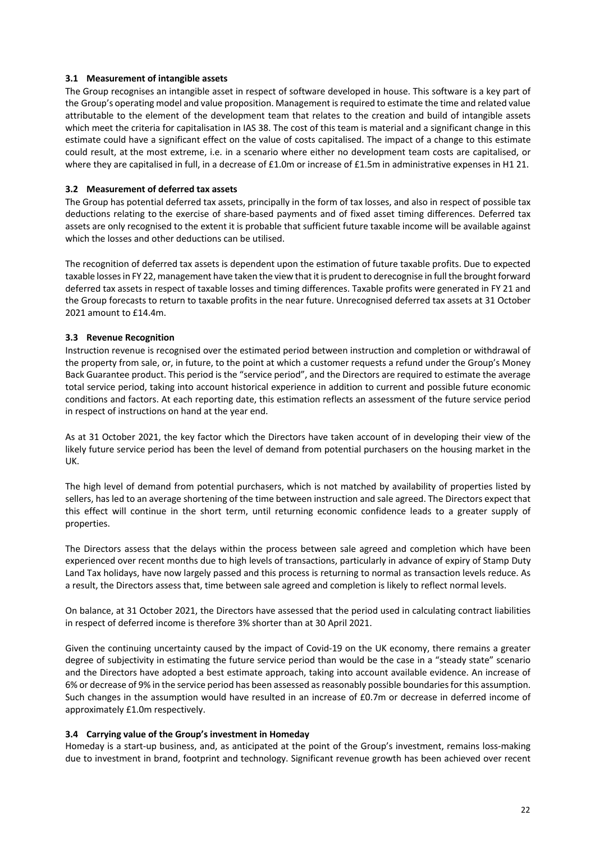### **3.1 Measurement of intangible assets**

The Group recognises an intangible asset in respect of software developed in house. This software is a key part of the Group's operating model and value proposition. Management is required to estimate the time and related value attributable to the element of the development team that relates to the creation and build of intangible assets which meet the criteria for capitalisation in IAS 38. The cost of this team is material and a significant change in this estimate could have a significant effect on the value of costs capitalised. The impact of a change to this estimate could result, at the most extreme, i.e. in a scenario where either no development team costs are capitalised, or where they are capitalised in full, in a decrease of £1.0m or increase of £1.5m in administrative expenses in H1 21.

### **3.2 Measurement of deferred tax assets**

The Group has potential deferred tax assets, principally in the form of tax losses, and also in respect of possible tax deductions relating to the exercise of share-based payments and of fixed asset timing differences. Deferred tax assets are only recognised to the extent it is probable that sufficient future taxable income will be available against which the losses and other deductions can be utilised.

The recognition of deferred tax assets is dependent upon the estimation of future taxable profits. Due to expected taxable losses in FY 22, management have taken the view that it is prudent to derecognise in full the brought forward deferred tax assets in respect of taxable losses and timing differences. Taxable profits were generated in FY 21 and the Group forecasts to return to taxable profits in the near future. Unrecognised deferred tax assets at 31 October 2021 amount to £14.4m.

### **3.3 Revenue Recognition**

Instruction revenue is recognised over the estimated period between instruction and completion or withdrawal of the property from sale, or, in future, to the point at which a customer requests a refund under the Group's Money Back Guarantee product. This period is the "service period", and the Directors are required to estimate the average total service period, taking into account historical experience in addition to current and possible future economic conditions and factors. At each reporting date, this estimation reflects an assessment of the future service period in respect of instructions on hand at the year end.

As at 31 October 2021, the key factor which the Directors have taken account of in developing their view of the likely future service period has been the level of demand from potential purchasers on the housing market in the UK.

The high level of demand from potential purchasers, which is not matched by availability of properties listed by sellers, has led to an average shortening of the time between instruction and sale agreed. The Directors expect that this effect will continue in the short term, until returning economic confidence leads to a greater supply of properties.

The Directors assess that the delays within the process between sale agreed and completion which have been experienced over recent months due to high levels of transactions, particularly in advance of expiry of Stamp Duty Land Tax holidays, have now largely passed and this process is returning to normal as transaction levels reduce. As a result, the Directors assess that, time between sale agreed and completion is likely to reflect normal levels.

On balance, at 31 October 2021, the Directors have assessed that the period used in calculating contract liabilities in respect of deferred income is therefore 3% shorter than at 30 April 2021.

Given the continuing uncertainty caused by the impact of Covid-19 on the UK economy, there remains a greater degree of subjectivity in estimating the future service period than would be the case in a "steady state" scenario and the Directors have adopted a best estimate approach, taking into account available evidence. An increase of 6% or decrease of 9% in the service period has been assessed as reasonably possible boundaries for this assumption. Such changes in the assumption would have resulted in an increase of £0.7m or decrease in deferred income of approximately £1.0m respectively.

### **3.4 Carrying value of the Group's investment in Homeday**

Homeday is a start-up business, and, as anticipated at the point of the Group's investment, remains loss-making due to investment in brand, footprint and technology. Significant revenue growth has been achieved over recent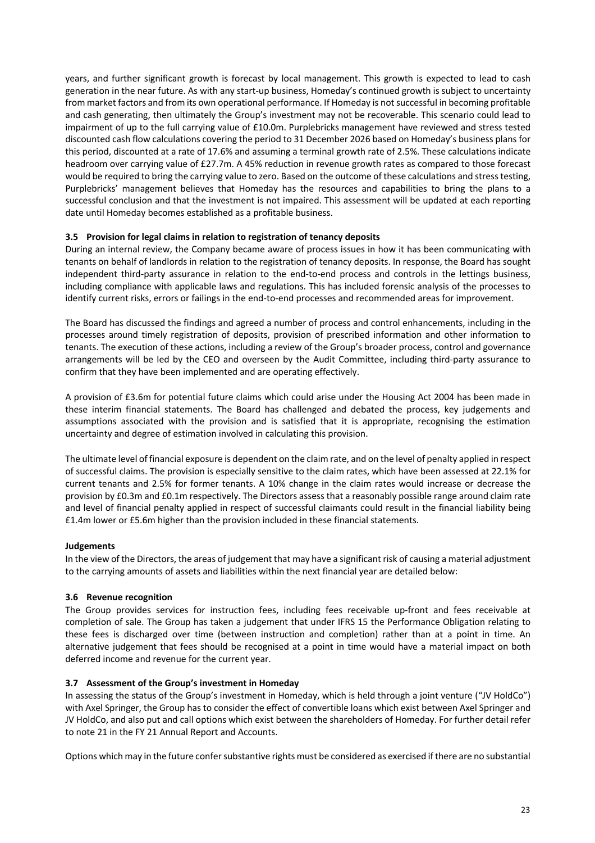years, and further significant growth is forecast by local management. This growth is expected to lead to cash generation in the near future. As with any start-up business, Homeday's continued growth is subject to uncertainty from market factors and from its own operational performance. If Homeday is not successful in becoming profitable and cash generating, then ultimately the Group's investment may not be recoverable. This scenario could lead to impairment of up to the full carrying value of £10.0m. Purplebricks management have reviewed and stress tested discounted cash flow calculations covering the period to 31 December 2026 based on Homeday's business plans for this period, discounted at a rate of 17.6% and assuming a terminal growth rate of 2.5%. These calculations indicate headroom over carrying value of £27.7m. A 45% reduction in revenue growth rates as compared to those forecast would be required to bring the carrying value to zero. Based on the outcome of these calculations and stress testing, Purplebricks' management believes that Homeday has the resources and capabilities to bring the plans to a successful conclusion and that the investment is not impaired. This assessment will be updated at each reporting date until Homeday becomes established as a profitable business.

### **3.5 Provision for legal claims in relation to registration of tenancy deposits**

During an internal review, the Company became aware of process issues in how it has been communicating with tenants on behalf of landlords in relation to the registration of tenancy deposits. In response, the Board has sought independent third-party assurance in relation to the end-to-end process and controls in the lettings business, including compliance with applicable laws and regulations. This has included forensic analysis of the processes to identify current risks, errors or failings in the end-to-end processes and recommended areas for improvement.

The Board has discussed the findings and agreed a number of process and control enhancements, including in the processes around timely registration of deposits, provision of prescribed information and other information to tenants. The execution of these actions, including a review of the Group's broader process, control and governance arrangements will be led by the CEO and overseen by the Audit Committee, including third-party assurance to confirm that they have been implemented and are operating effectively.

A provision of £3.6m for potential future claims which could arise under the Housing Act 2004 has been made in these interim financial statements. The Board has challenged and debated the process, key judgements and assumptions associated with the provision and is satisfied that it is appropriate, recognising the estimation uncertainty and degree of estimation involved in calculating this provision.

The ultimate level of financial exposure is dependent on the claim rate, and on the level of penalty applied in respect of successful claims. The provision is especially sensitive to the claim rates, which have been assessed at 22.1% for current tenants and 2.5% for former tenants. A 10% change in the claim rates would increase or decrease the provision by £0.3m and £0.1m respectively. The Directors assess that a reasonably possible range around claim rate and level of financial penalty applied in respect of successful claimants could result in the financial liability being £1.4m lower or £5.6m higher than the provision included in these financial statements.

### **Judgements**

In the view of the Directors, the areas of judgement that may have a significant risk of causing a material adjustment to the carrying amounts of assets and liabilities within the next financial year are detailed below:

### **3.6 Revenue recognition**

The Group provides services for instruction fees, including fees receivable up-front and fees receivable at completion of sale. The Group has taken a judgement that under IFRS 15 the Performance Obligation relating to these fees is discharged over time (between instruction and completion) rather than at a point in time. An alternative judgement that fees should be recognised at a point in time would have a material impact on both deferred income and revenue for the current year.

### **3.7 Assessment of the Group's investment in Homeday**

In assessing the status of the Group's investment in Homeday, which is held through a joint venture ("JV HoldCo") with Axel Springer, the Group has to consider the effect of convertible loans which exist between Axel Springer and JV HoldCo, and also put and call options which exist between the shareholders of Homeday. For further detail refer to note 21 in the FY 21 Annual Report and Accounts.

Options which may in the future confer substantive rights must be considered as exercised if there are no substantial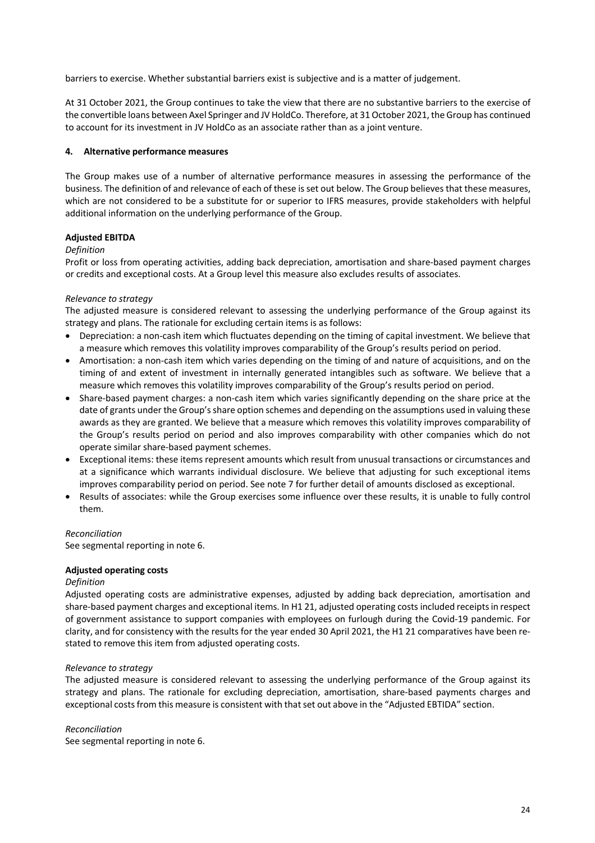barriers to exercise. Whether substantial barriers exist is subjective and is a matter of judgement.

At 31 October 2021, the Group continues to take the view that there are no substantive barriers to the exercise of the convertible loans between Axel Springer and JV HoldCo. Therefore, at 31 October 2021, the Group has continued to account for its investment in JV HoldCo as an associate rather than as a joint venture.

### **4. Alternative performance measures**

The Group makes use of a number of alternative performance measures in assessing the performance of the business. The definition of and relevance of each of these is set out below. The Group believes that these measures, which are not considered to be a substitute for or superior to IFRS measures, provide stakeholders with helpful additional information on the underlying performance of the Group.

### **Adjusted EBITDA**

### *Definition*

Profit or loss from operating activities, adding back depreciation, amortisation and share-based payment charges or credits and exceptional costs. At a Group level this measure also excludes results of associates.

### *Relevance to strategy*

The adjusted measure is considered relevant to assessing the underlying performance of the Group against its strategy and plans. The rationale for excluding certain items is as follows:

- Depreciation: a non-cash item which fluctuates depending on the timing of capital investment. We believe that a measure which removes this volatility improves comparability of the Group's results period on period.
- Amortisation: a non-cash item which varies depending on the timing of and nature of acquisitions, and on the timing of and extent of investment in internally generated intangibles such as software. We believe that a measure which removes this volatility improves comparability of the Group's results period on period.
- Share-based payment charges: a non-cash item which varies significantly depending on the share price at the date of grants under the Group's share option schemes and depending on the assumptions used in valuing these awards as they are granted. We believe that a measure which removes this volatility improves comparability of the Group's results period on period and also improves comparability with other companies which do not operate similar share-based payment schemes.
- Exceptional items: these items represent amounts which result from unusual transactions or circumstances and at a significance which warrants individual disclosure. We believe that adjusting for such exceptional items improves comparability period on period. See note 7 for further detail of amounts disclosed as exceptional.
- Results of associates: while the Group exercises some influence over these results, it is unable to fully control them.

### *Reconciliation*

See segmental reporting in note 6.

### **Adjusted operating costs**

### *Definition*

Adjusted operating costs are administrative expenses, adjusted by adding back depreciation, amortisation and share-based payment charges and exceptional items. In H1 21, adjusted operating costs included receipts in respect of government assistance to support companies with employees on furlough during the Covid-19 pandemic. For clarity, and for consistency with the results for the year ended 30 April 2021, the H1 21 comparatives have been restated to remove this item from adjusted operating costs.

### *Relevance to strategy*

The adjusted measure is considered relevant to assessing the underlying performance of the Group against its strategy and plans. The rationale for excluding depreciation, amortisation, share-based payments charges and exceptional costs from this measure is consistent with that set out above in the "Adjusted EBTIDA" section.

### *Reconciliation*

See segmental reporting in note 6.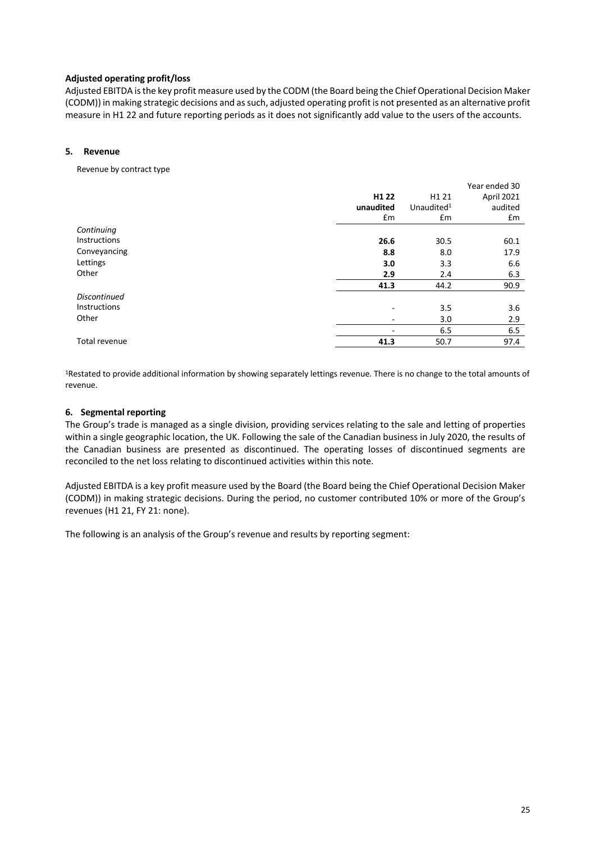### **Adjusted operating profit/loss**

Adjusted EBITDA is the key profit measure used by the CODM (the Board being the Chief Operational Decision Maker (CODM)) in making strategic decisions and as such, adjusted operating profit is not presented as an alternative profit measure in H1 22 and future reporting periods as it does not significantly add value to the users of the accounts.

### **5. Revenue**

Revenue by contract type

|                     |                          |                        | Year ended 30 |
|---------------------|--------------------------|------------------------|---------------|
|                     | H <sub>1</sub> 22        | H <sub>1</sub> 21      | April 2021    |
|                     | unaudited                | Unaudited <sup>1</sup> | audited       |
|                     | £m                       | £m                     | £m            |
| Continuing          |                          |                        |               |
| Instructions        | 26.6                     | 30.5                   | 60.1          |
| Conveyancing        | 8.8                      | 8.0                    | 17.9          |
| Lettings            | 3.0                      | 3.3                    | 6.6           |
| Other               | 2.9                      | 2.4                    | 6.3           |
|                     | 41.3                     | 44.2                   | 90.9          |
| <b>Discontinued</b> |                          |                        |               |
| Instructions        | $\overline{\phantom{0}}$ | 3.5                    | 3.6           |
| Other               | $\overline{\phantom{a}}$ | 3.0                    | 2.9           |
|                     | -                        | 6.5                    | 6.5           |
| Total revenue       | 41.3                     | 50.7                   | 97.4          |

1Restated to provide additional information by showing separately lettings revenue. There is no change to the total amounts of revenue.

### **6. Segmental reporting**

The Group's trade is managed as a single division, providing services relating to the sale and letting of properties within a single geographic location, the UK. Following the sale of the Canadian business in July 2020, the results of the Canadian business are presented as discontinued. The operating losses of discontinued segments are reconciled to the net loss relating to discontinued activities within this note.

Adjusted EBITDA is a key profit measure used by the Board (the Board being the Chief Operational Decision Maker (CODM)) in making strategic decisions. During the period, no customer contributed 10% or more of the Group's revenues (H1 21, FY 21: none).

The following is an analysis of the Group's revenue and results by reporting segment: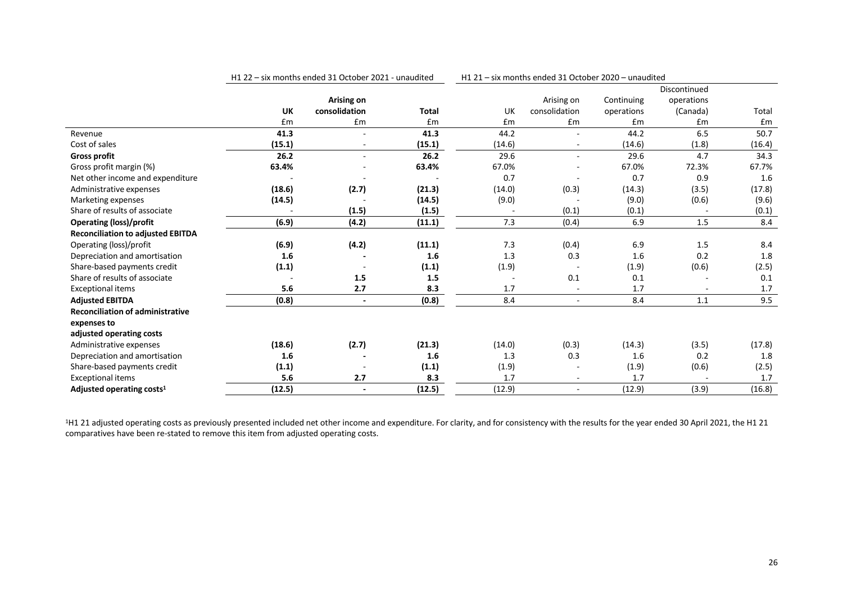|                                          |           | H1 22 - six months ended 31 October 2021 - unaudited |              | H1 21 - six months ended 31 October 2020 - unaudited |                          |            |              |        |
|------------------------------------------|-----------|------------------------------------------------------|--------------|------------------------------------------------------|--------------------------|------------|--------------|--------|
|                                          |           |                                                      |              |                                                      |                          |            | Discontinued |        |
|                                          |           | Arising on                                           |              |                                                      | Arising on               | Continuing | operations   |        |
|                                          | <b>UK</b> | consolidation                                        | <b>Total</b> | UK                                                   | consolidation            | operations | (Canada)     | Total  |
|                                          | £m        | £m                                                   | £m           | £m                                                   | Em                       | £m         | £m           | £m     |
| Revenue                                  | 41.3      |                                                      | 41.3         | 44.2                                                 |                          | 44.2       | 6.5          | 50.7   |
| Cost of sales                            | (15.1)    |                                                      | (15.1)       | (14.6)                                               |                          | (14.6)     | (1.8)        | (16.4) |
| <b>Gross profit</b>                      | 26.2      | $\overline{\phantom{0}}$                             | 26.2         | 29.6                                                 |                          | 29.6       | 4.7          | 34.3   |
| Gross profit margin (%)                  | 63.4%     |                                                      | 63.4%        | 67.0%                                                |                          | 67.0%      | 72.3%        | 67.7%  |
| Net other income and expenditure         |           |                                                      |              | 0.7                                                  |                          | 0.7        | 0.9          | 1.6    |
| Administrative expenses                  | (18.6)    | (2.7)                                                | (21.3)       | (14.0)                                               | (0.3)                    | (14.3)     | (3.5)        | (17.8) |
| Marketing expenses                       | (14.5)    |                                                      | (14.5)       | (9.0)                                                |                          | (9.0)      | (0.6)        | (9.6)  |
| Share of results of associate            |           | (1.5)                                                | (1.5)        |                                                      | (0.1)                    | (0.1)      |              | (0.1)  |
| <b>Operating (loss)/profit</b>           | (6.9)     | (4.2)                                                | (11.1)       | 7.3                                                  | (0.4)                    | 6.9        | 1.5          | 8.4    |
| <b>Reconciliation to adjusted EBITDA</b> |           |                                                      |              |                                                      |                          |            |              |        |
| Operating (loss)/profit                  | (6.9)     | (4.2)                                                | (11.1)       | 7.3                                                  | (0.4)                    | 6.9        | 1.5          | 8.4    |
| Depreciation and amortisation            | 1.6       |                                                      | 1.6          | 1.3                                                  | 0.3                      | 1.6        | 0.2          | 1.8    |
| Share-based payments credit              | (1.1)     |                                                      | (1.1)        | (1.9)                                                |                          | (1.9)      | (0.6)        | (2.5)  |
| Share of results of associate            |           | 1.5                                                  | 1.5          |                                                      | 0.1                      | 0.1        |              | 0.1    |
| <b>Exceptional items</b>                 | 5.6       | 2.7                                                  | 8.3          | 1.7                                                  |                          | 1.7        |              | 1.7    |
| <b>Adjusted EBITDA</b>                   | (0.8)     | $\blacksquare$                                       | (0.8)        | 8.4                                                  | $\overline{\phantom{a}}$ | 8.4        | 1.1          | 9.5    |
| <b>Reconciliation of administrative</b>  |           |                                                      |              |                                                      |                          |            |              |        |
| expenses to                              |           |                                                      |              |                                                      |                          |            |              |        |
| adjusted operating costs                 |           |                                                      |              |                                                      |                          |            |              |        |
| Administrative expenses                  | (18.6)    | (2.7)                                                | (21.3)       | (14.0)                                               | (0.3)                    | (14.3)     | (3.5)        | (17.8) |
| Depreciation and amortisation            | 1.6       |                                                      | 1.6          | 1.3                                                  | 0.3                      | 1.6        | 0.2          | 1.8    |
| Share-based payments credit              | (1.1)     |                                                      | (1.1)        | (1.9)                                                |                          | (1.9)      | (0.6)        | (2.5)  |
| <b>Exceptional items</b>                 | 5.6       | 2.7                                                  | 8.3          | 1.7                                                  | $\overline{\phantom{a}}$ | 1.7        |              | 1.7    |
| Adjusted operating costs <sup>1</sup>    | (12.5)    | $\overline{\phantom{a}}$                             | (12.5)       | (12.9)                                               | $\sim$                   | (12.9)     | (3.9)        | (16.8) |

<sup>1</sup>H1 21 adjusted operating costs as previously presented included net other income and expenditure. For clarity, and for consistency with the results for the year ended 30 April 2021, the H1 21 comparatives have been re-stated to remove this item from adjusted operating costs.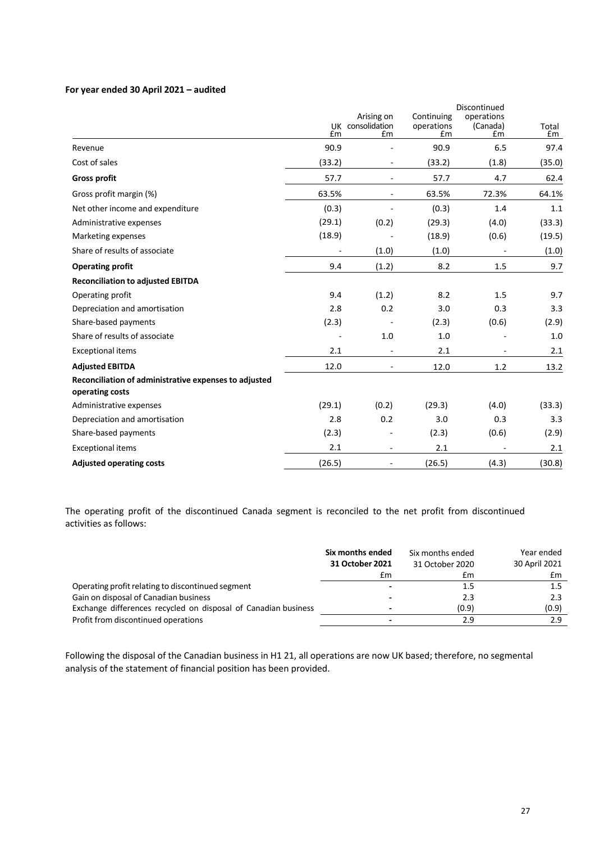#### **For year ended 30 April 2021 – audited**

|                                                                          |        |                                      |                                | Discontinued                 |             |
|--------------------------------------------------------------------------|--------|--------------------------------------|--------------------------------|------------------------------|-------------|
|                                                                          | £m     | Arising on<br>UK consolidation<br>£m | Continuing<br>operations<br>£m | operations<br>(Canada)<br>£m | Total<br>£m |
| Revenue                                                                  | 90.9   |                                      | 90.9                           | 6.5                          | 97.4        |
| Cost of sales                                                            | (33.2) |                                      | (33.2)                         | (1.8)                        | (35.0)      |
| <b>Gross profit</b>                                                      | 57.7   |                                      | 57.7                           | 4.7                          | 62.4        |
| Gross profit margin (%)                                                  | 63.5%  | $\overline{\phantom{a}}$             | 63.5%                          | 72.3%                        | 64.1%       |
| Net other income and expenditure                                         | (0.3)  |                                      | (0.3)                          | 1.4                          | 1.1         |
| Administrative expenses                                                  | (29.1) | (0.2)                                | (29.3)                         | (4.0)                        | (33.3)      |
| Marketing expenses                                                       | (18.9) |                                      | (18.9)                         | (0.6)                        | (19.5)      |
| Share of results of associate                                            |        | (1.0)                                | (1.0)                          |                              | (1.0)       |
| <b>Operating profit</b>                                                  | 9.4    | (1.2)                                | 8.2                            | 1.5                          | 9.7         |
| <b>Reconciliation to adjusted EBITDA</b>                                 |        |                                      |                                |                              |             |
| Operating profit                                                         | 9.4    | (1.2)                                | 8.2                            | 1.5                          | 9.7         |
| Depreciation and amortisation                                            | 2.8    | 0.2                                  | 3.0                            | 0.3                          | 3.3         |
| Share-based payments                                                     | (2.3)  |                                      | (2.3)                          | (0.6)                        | (2.9)       |
| Share of results of associate                                            |        | 1.0                                  | 1.0                            |                              | 1.0         |
| <b>Exceptional items</b>                                                 | 2.1    | $\overline{\phantom{a}}$             | 2.1                            |                              | 2.1         |
| <b>Adjusted EBITDA</b>                                                   | 12.0   |                                      | 12.0                           | 1.2                          | 13.2        |
| Reconciliation of administrative expenses to adjusted<br>operating costs |        |                                      |                                |                              |             |
| Administrative expenses                                                  | (29.1) | (0.2)                                | (29.3)                         | (4.0)                        | (33.3)      |
| Depreciation and amortisation                                            | 2.8    | 0.2                                  | 3.0                            | 0.3                          | 3.3         |
| Share-based payments                                                     | (2.3)  |                                      | (2.3)                          | (0.6)                        | (2.9)       |
| <b>Exceptional items</b>                                                 | 2.1    | $\overline{\phantom{a}}$             | 2.1                            |                              | 2.1         |
| <b>Adjusted operating costs</b>                                          | (26.5) |                                      | (26.5)                         | (4.3)                        | (30.8)      |

The operating profit of the discontinued Canada segment is reconciled to the net profit from discontinued activities as follows:

|                                                                | Six months ended<br>31 October 2021 | Six months ended<br>31 October 2020 | Year ended<br>30 April 2021 |
|----------------------------------------------------------------|-------------------------------------|-------------------------------------|-----------------------------|
|                                                                | £m                                  | £m                                  | £m                          |
| Operating profit relating to discontinued segment              | $\overline{\phantom{0}}$            | 1.5                                 | 1.5                         |
| Gain on disposal of Canadian business                          | -                                   | 2.3                                 | 2.3                         |
| Exchange differences recycled on disposal of Canadian business | $\overline{\phantom{0}}$            | (0.9)                               | (0.9)                       |
| Profit from discontinued operations                            | $\overline{\phantom{0}}$            | 2.9                                 | 2.9                         |

Following the disposal of the Canadian business in H1 21, all operations are now UK based; therefore, no segmental analysis of the statement of financial position has been provided.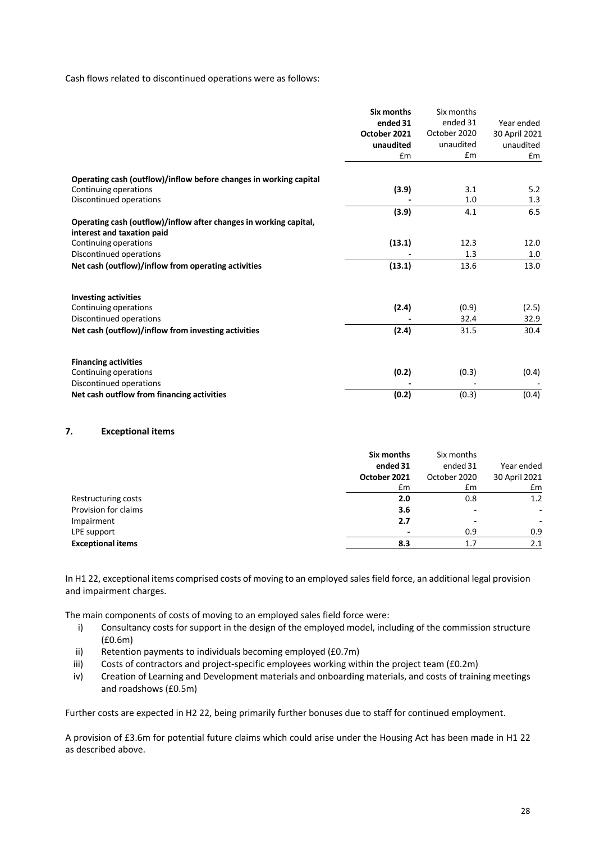Cash flows related to discontinued operations were as follows:

|                                                                                                 | Six months<br>ended 31<br>October 2021<br>unaudited<br>£m | Six months<br>ended 31<br>October 2020<br>unaudited<br>Em | Year ended<br>30 April 2021<br>unaudited<br>Em |
|-------------------------------------------------------------------------------------------------|-----------------------------------------------------------|-----------------------------------------------------------|------------------------------------------------|
| Operating cash (outflow)/inflow before changes in working capital                               |                                                           |                                                           |                                                |
| Continuing operations<br>Discontinued operations                                                | (3.9)                                                     | 3.1<br>1.0                                                | 5.2<br>1.3                                     |
|                                                                                                 | (3.9)                                                     | 4.1                                                       | 6.5                                            |
| Operating cash (outflow)/inflow after changes in working capital,<br>interest and taxation paid |                                                           |                                                           |                                                |
| Continuing operations                                                                           | (13.1)                                                    | 12.3                                                      | 12.0                                           |
| Discontinued operations                                                                         |                                                           | 1.3                                                       | 1.0                                            |
| Net cash (outflow)/inflow from operating activities                                             | (13.1)                                                    | 13.6                                                      | 13.0                                           |
| <b>Investing activities</b>                                                                     |                                                           |                                                           |                                                |
| Continuing operations                                                                           | (2.4)                                                     | (0.9)                                                     | (2.5)                                          |
| Discontinued operations                                                                         |                                                           | 32.4                                                      | 32.9                                           |
| Net cash (outflow)/inflow from investing activities                                             | (2.4)                                                     | 31.5                                                      | 30.4                                           |
| <b>Financing activities</b>                                                                     |                                                           |                                                           |                                                |
| Continuing operations                                                                           | (0.2)                                                     | (0.3)                                                     | (0.4)                                          |
| Discontinued operations                                                                         |                                                           |                                                           |                                                |
| Net cash outflow from financing activities                                                      | (0.2)                                                     | (0.3)                                                     | (0.4)                                          |

#### **7. Exceptional items**

|                          | Six months   | Six months   |                          |
|--------------------------|--------------|--------------|--------------------------|
|                          | ended 31     | ended 31     | Year ended               |
|                          | October 2021 | October 2020 | 30 April 2021            |
|                          | Em           | £m           | £m                       |
| Restructuring costs      | 2.0          | 0.8          | 1.2                      |
| Provision for claims     | 3.6          |              | $\overline{\phantom{a}}$ |
| Impairment               | 2.7          |              | ٠                        |
| LPE support              |              | 0.9          | 0.9                      |
| <b>Exceptional items</b> | 8.3          | 1.7          | 2.1                      |

In H1 22, exceptional items comprised costs of moving to an employed sales field force, an additional legal provision and impairment charges.

The main components of costs of moving to an employed sales field force were:

- i) Consultancy costs for support in the design of the employed model, including of the commission structure (£0.6m)
- ii) Retention payments to individuals becoming employed (£0.7m)
- iii) Costs of contractors and project-specific employees working within the project team (£0.2m)
- iv) Creation of Learning and Development materials and onboarding materials, and costs of training meetings and roadshows (£0.5m)

Further costs are expected in H2 22, being primarily further bonuses due to staff for continued employment.

A provision of £3.6m for potential future claims which could arise under the Housing Act has been made in H1 22 as described above.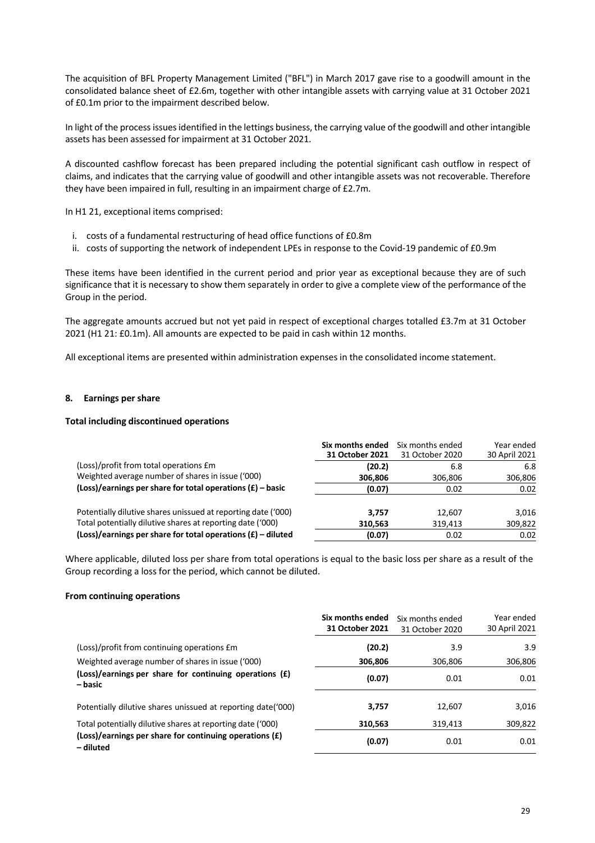The acquisition of BFL Property Management Limited ("BFL") in March 2017 gave rise to a goodwill amount in the consolidated balance sheet of £2.6m, together with other intangible assets with carrying value at 31 October 2021 of £0.1m prior to the impairment described below.

In light of the process issuesidentified in the lettings business, the carrying value of the goodwill and other intangible assets has been assessed for impairment at 31 October 2021.

A discounted cashflow forecast has been prepared including the potential significant cash outflow in respect of claims, and indicates that the carrying value of goodwill and other intangible assets was not recoverable. Therefore they have been impaired in full, resulting in an impairment charge of £2.7m.

In H1 21, exceptional items comprised:

- i. costs of a fundamental restructuring of head office functions of £0.8m
- ii. costs of supporting the network of independent LPEs in response to the Covid-19 pandemic of £0.9m

These items have been identified in the current period and prior year as exceptional because they are of such significance that it is necessary to show them separately in order to give a complete view of the performance of the Group in the period.

The aggregate amounts accrued but not yet paid in respect of exceptional charges totalled £3.7m at 31 October 2021 (H1 21: £0.1m). All amounts are expected to be paid in cash within 12 months.

All exceptional items are presented within administration expenses in the consolidated income statement.

#### **8. Earnings per share**

#### **Total including discontinued operations**

|                                                                  | Six months ended<br>31 October 2021 | Six months ended<br>31 October 2020 | Year ended<br>30 April 2021 |
|------------------------------------------------------------------|-------------------------------------|-------------------------------------|-----------------------------|
| (Loss)/profit from total operations £m                           | (20.2)                              | 6.8                                 | 6.8                         |
| Weighted average number of shares in issue ('000)                | 306,806                             | 306,806                             | 306,806                     |
| $(Loss)/earnings$ per share for total operations $(f)$ – basic   | (0.07)                              | 0.02                                | 0.02                        |
| Potentially dilutive shares unissued at reporting date ('000)    | 3.757                               | 12,607                              | 3.016                       |
| Total potentially dilutive shares at reporting date ('000)       | 310,563                             | 319,413                             | 309,822                     |
| $(Loss)/earnings$ per share for total operations $(E)$ – diluted | (0.07)                              | 0.02                                | 0.02                        |

Where applicable, diluted loss per share from total operations is equal to the basic loss per share as a result of the Group recording a loss for the period, which cannot be diluted.

#### **From continuing operations**

|                                                                      | Six months ended<br>31 October 2021 | Six months ended<br>31 October 2020 | Year ended<br>30 April 2021 |
|----------------------------------------------------------------------|-------------------------------------|-------------------------------------|-----------------------------|
| (Loss)/profit from continuing operations £m                          | (20.2)                              | 3.9                                 | 3.9                         |
| Weighted average number of shares in issue ('000)                    | 306,806                             | 306.806                             | 306,806                     |
| (Loss)/earnings per share for continuing operations (£)<br>– basic   | (0.07)                              | 0.01                                | 0.01                        |
| Potentially dilutive shares unissued at reporting date ('000)        | 3,757                               | 12,607                              | 3,016                       |
| Total potentially dilutive shares at reporting date ('000)           | 310,563                             | 319,413                             | 309,822                     |
| (Loss)/earnings per share for continuing operations (£)<br>– diluted | (0.07)                              | 0.01                                | 0.01                        |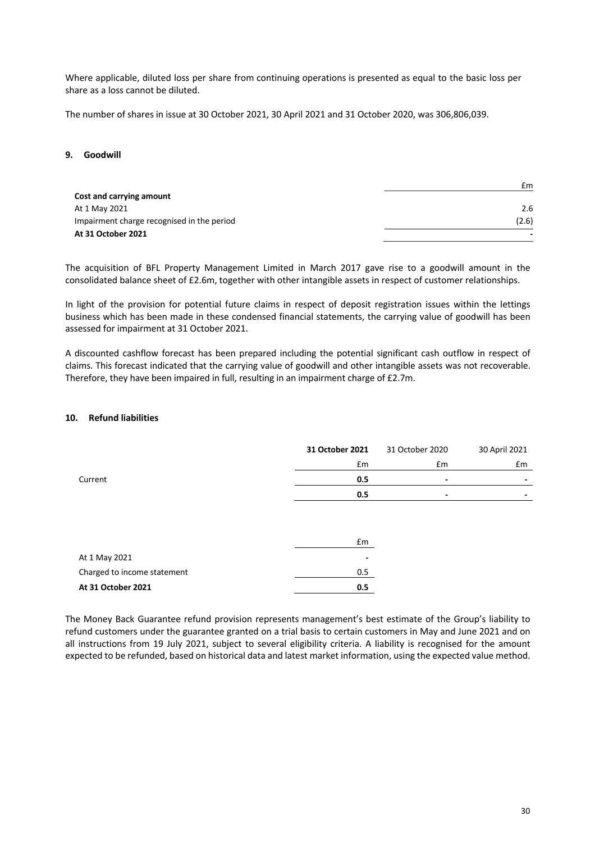Where applicable, diluted loss per share from continuing operations is presented as equal to the basic loss per share as a loss cannot be diluted.

The number of shares in issue at 30 October 2021, 30 April 2021 and 31 October 2020, was 306,806,039.

#### **9. Goodwill**

|                                            | £m                       |
|--------------------------------------------|--------------------------|
| Cost and carrying amount                   |                          |
| At 1 May 2021                              | 2.6                      |
| Impairment charge recognised in the period | (2.6)                    |
| At 31 October 2021                         | $\overline{\phantom{0}}$ |

The acquisition of BFL Property Management Limited in March 2017 gave rise to a goodwill amount in the consolidated balance sheet of £2.6m, together with other intangible assets in respect of customer relationships.

In light of the provision for potential future claims in respect of deposit registration issues within the lettings business which has been made in these condensed financial statements, the carrying value of goodwill has been assessed for impairment at 31 October 2021.

A discounted cashflow forecast has been prepared including the potential significant cash outflow in respect of claims. This forecast indicated that the carrying value of goodwill and other intangible assets was not recoverable. Therefore, they have been impaired in full, resulting in an impairment charge of £2.7m.

#### **10. Refund liabilities**

|         | 31 October 2021 | 31 October 2020 | 30 April 2021            |
|---------|-----------------|-----------------|--------------------------|
|         | £m              | £m              | £m                       |
| Current | 0.5             | $\blacksquare$  | $\overline{\phantom{0}}$ |
|         | 0.5             | $\blacksquare$  | $\overline{\phantom{0}}$ |
|         |                 |                 |                          |

|                             | £m                       |
|-----------------------------|--------------------------|
| At 1 May 2021               | $\overline{\phantom{0}}$ |
| Charged to income statement | 0.5                      |
| At 31 October 2021          | 0.5                      |

The Money Back Guarantee refund provision represents management's best estimate of the Group's liability to refund customers under the guarantee granted on a trial basis to certain customers in May and June 2021 and on all instructions from 19 July 2021, subject to several eligibility criteria. A liability is recognised for the amount expected to be refunded, based on historical data and latest market information, using the expected value method.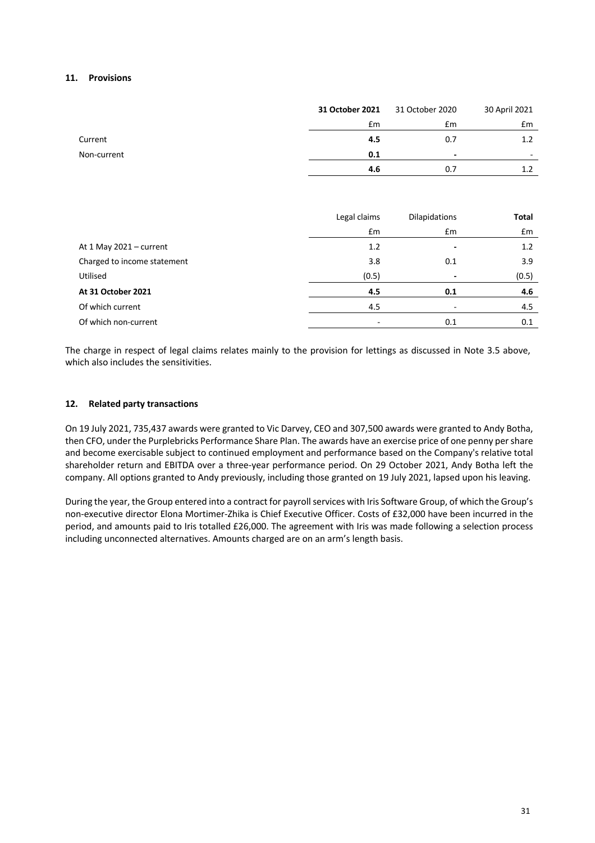### **11. Provisions**

|             | 31 October 2021 | 31 October 2020          | 30 April 2021            |
|-------------|-----------------|--------------------------|--------------------------|
|             | £m              | £m                       | £m                       |
| Current     | 4.5             | 0.7                      | 1.2                      |
| Non-current | 0.1             | $\overline{\phantom{0}}$ | $\overline{\phantom{a}}$ |
|             | 4.6             | 0.7                      | 1.2                      |

|                             | Legal claims | <b>Dilapidations</b>     | Total |
|-----------------------------|--------------|--------------------------|-------|
|                             | £m           | £m                       | £m    |
| At 1 May $2021 -$ current   | 1.2          | -                        | 1.2   |
| Charged to income statement | 3.8          | 0.1                      | 3.9   |
| Utilised                    | (0.5)        | $\overline{\phantom{a}}$ | (0.5) |
| At 31 October 2021          | 4.5          | 0.1                      | 4.6   |
| Of which current            | 4.5          | $\overline{\phantom{a}}$ | 4.5   |
| Of which non-current        |              | 0.1                      | 0.1   |

The charge in respect of legal claims relates mainly to the provision for lettings as discussed in Note 3.5 above, which also includes the sensitivities.

### **12. Related party transactions**

On 19 July 2021, 735,437 awards were granted to Vic Darvey, CEO and 307,500 awards were granted to Andy Botha, then CFO, under the Purplebricks Performance Share Plan. The awards have an exercise price of one penny per share and become exercisable subject to continued employment and performance based on the Company's relative total shareholder return and EBITDA over a three-year performance period. On 29 October 2021, Andy Botha left the company. All options granted to Andy previously, including those granted on 19 July 2021, lapsed upon his leaving.

During the year, the Group entered into a contract for payroll services with Iris Software Group, of which the Group's non-executive director Elona Mortimer-Zhika is Chief Executive Officer. Costs of £32,000 have been incurred in the period, and amounts paid to Iris totalled £26,000. The agreement with Iris was made following a selection process including unconnected alternatives. Amounts charged are on an arm's length basis.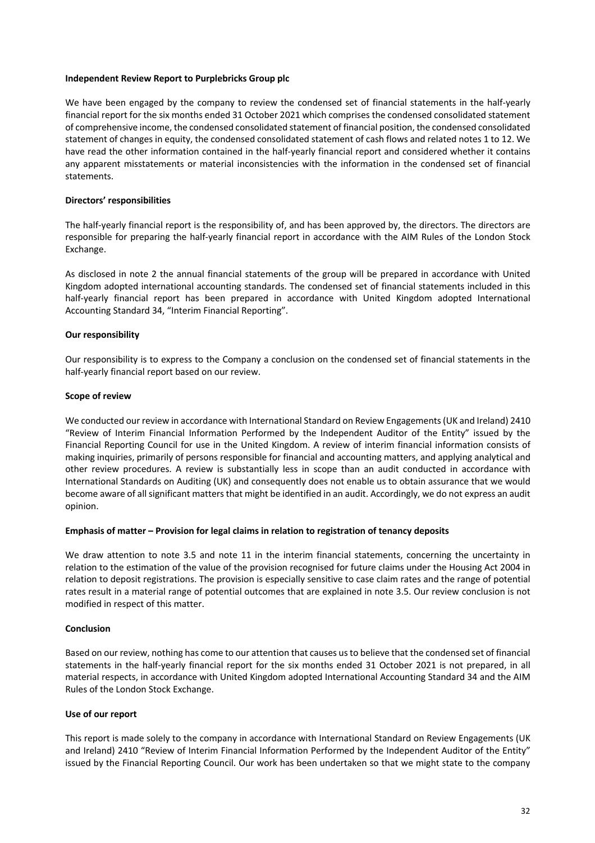#### **Independent Review Report to Purplebricks Group plc**

We have been engaged by the company to review the condensed set of financial statements in the half-yearly financial report for the six months ended 31 October 2021 which comprises the condensed consolidated statement of comprehensive income, the condensed consolidated statement of financial position, the condensed consolidated statement of changes in equity, the condensed consolidated statement of cash flows and related notes 1 to 12. We have read the other information contained in the half-yearly financial report and considered whether it contains any apparent misstatements or material inconsistencies with the information in the condensed set of financial statements.

#### **Directors' responsibilities**

The half-yearly financial report is the responsibility of, and has been approved by, the directors. The directors are responsible for preparing the half-yearly financial report in accordance with the AIM Rules of the London Stock Exchange.

As disclosed in note 2 the annual financial statements of the group will be prepared in accordance with United Kingdom adopted international accounting standards. The condensed set of financial statements included in this half-yearly financial report has been prepared in accordance with United Kingdom adopted International Accounting Standard 34, "Interim Financial Reporting".

### **Our responsibility**

Our responsibility is to express to the Company a conclusion on the condensed set of financial statements in the half-yearly financial report based on our review.

#### **Scope of review**

We conducted our review in accordance with International Standard on Review Engagements (UK and Ireland) 2410 "Review of Interim Financial Information Performed by the Independent Auditor of the Entity" issued by the Financial Reporting Council for use in the United Kingdom. A review of interim financial information consists of making inquiries, primarily of persons responsible for financial and accounting matters, and applying analytical and other review procedures. A review is substantially less in scope than an audit conducted in accordance with International Standards on Auditing (UK) and consequently does not enable us to obtain assurance that we would become aware of all significant matters that might be identified in an audit. Accordingly, we do not express an audit opinion.

#### **Emphasis of matter – Provision for legal claims in relation to registration of tenancy deposits**

We draw attention to note 3.5 and note 11 in the interim financial statements, concerning the uncertainty in relation to the estimation of the value of the provision recognised for future claims under the Housing Act 2004 in relation to deposit registrations. The provision is especially sensitive to case claim rates and the range of potential rates result in a material range of potential outcomes that are explained in note 3.5. Our review conclusion is not modified in respect of this matter.

### **Conclusion**

Based on our review, nothing has come to our attention that causes us to believe that the condensed set of financial statements in the half-yearly financial report for the six months ended 31 October 2021 is not prepared, in all material respects, in accordance with United Kingdom adopted International Accounting Standard 34 and the AIM Rules of the London Stock Exchange.

### **Use of our report**

This report is made solely to the company in accordance with International Standard on Review Engagements (UK and Ireland) 2410 "Review of Interim Financial Information Performed by the Independent Auditor of the Entity" issued by the Financial Reporting Council. Our work has been undertaken so that we might state to the company